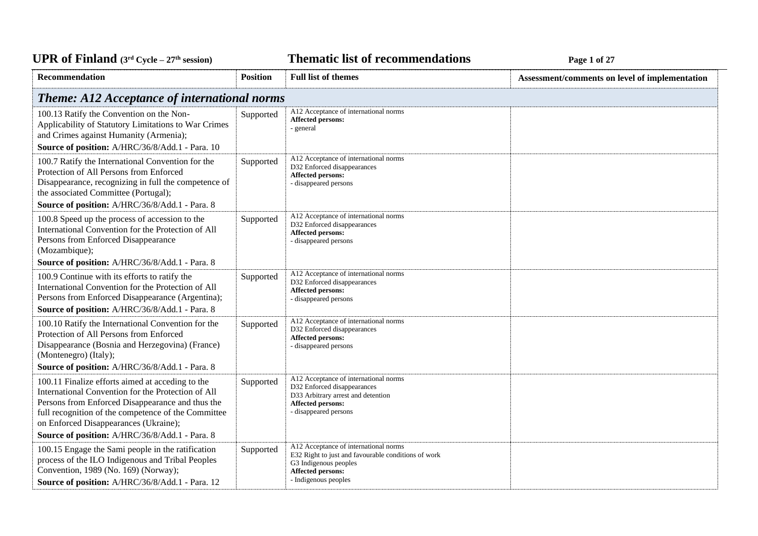*C***ELE <b>EXECUTE: CYCLE 27E EXECUTE: Page 1** of 27

| Recommendation                                                                                                                                                                                                                                                                                                                                                 | <b>Position</b> | <b>Full list of themes</b>                                                                                                                                                | Assessment/comments on level of implementation |
|----------------------------------------------------------------------------------------------------------------------------------------------------------------------------------------------------------------------------------------------------------------------------------------------------------------------------------------------------------------|-----------------|---------------------------------------------------------------------------------------------------------------------------------------------------------------------------|------------------------------------------------|
| <b>Theme: A12 Acceptance of international norms</b>                                                                                                                                                                                                                                                                                                            |                 |                                                                                                                                                                           |                                                |
| 100.13 Ratify the Convention on the Non-<br>Applicability of Statutory Limitations to War Crimes<br>and Crimes against Humanity (Armenia);<br>Source of position: A/HRC/36/8/Add.1 - Para. 10                                                                                                                                                                  | Supported       | A12 Acceptance of international norms<br>Affected persons:<br>- general                                                                                                   |                                                |
| 100.7 Ratify the International Convention for the<br>Protection of All Persons from Enforced<br>Disappearance, recognizing in full the competence of<br>the associated Committee (Portugal);<br>Source of position: A/HRC/36/8/Add.1 - Para. 8                                                                                                                 | Supported       | A12 Acceptance of international norms<br>D32 Enforced disappearances<br><b>Affected persons:</b><br>- disappeared persons                                                 |                                                |
| 100.8 Speed up the process of accession to the<br>International Convention for the Protection of All<br>Persons from Enforced Disappearance<br>(Mozambique);<br>Source of position: A/HRC/36/8/Add.1 - Para. 8                                                                                                                                                 | Supported       | A12 Acceptance of international norms<br>D32 Enforced disappearances<br>Affected persons:<br>- disappeared persons                                                        |                                                |
| 100.9 Continue with its efforts to ratify the<br>International Convention for the Protection of All<br>Persons from Enforced Disappearance (Argentina);<br>Source of position: A/HRC/36/8/Add.1 - Para. 8                                                                                                                                                      | Supported       | A12 Acceptance of international norms<br>D32 Enforced disappearances<br>Affected persons:<br>- disappeared persons                                                        |                                                |
| 100.10 Ratify the International Convention for the<br>Protection of All Persons from Enforced<br>Disappearance (Bosnia and Herzegovina) (France)<br>(Montenegro) (Italy);                                                                                                                                                                                      | Supported       | A12 Acceptance of international norms<br>D32 Enforced disappearances<br><b>Affected persons:</b><br>- disappeared persons                                                 |                                                |
| Source of position: A/HRC/36/8/Add.1 - Para. 8<br>100.11 Finalize efforts aimed at acceding to the<br>International Convention for the Protection of All<br>Persons from Enforced Disappearance and thus the<br>full recognition of the competence of the Committee<br>on Enforced Disappearances (Ukraine);<br>Source of position: A/HRC/36/8/Add.1 - Para. 8 | Supported       | A12 Acceptance of international norms<br>D32 Enforced disappearances<br>D33 Arbitrary arrest and detention<br><b>Affected persons:</b><br>- disappeared persons           |                                                |
| 100.15 Engage the Sami people in the ratification<br>process of the ILO Indigenous and Tribal Peoples<br>Convention, 1989 (No. 169) (Norway);<br>Source of position: A/HRC/36/8/Add.1 - Para. 12                                                                                                                                                               | Supported       | A12 Acceptance of international norms<br>E32 Right to just and favourable conditions of work<br>G3 Indigenous peoples<br><b>Affected persons:</b><br>- Indigenous peoples |                                                |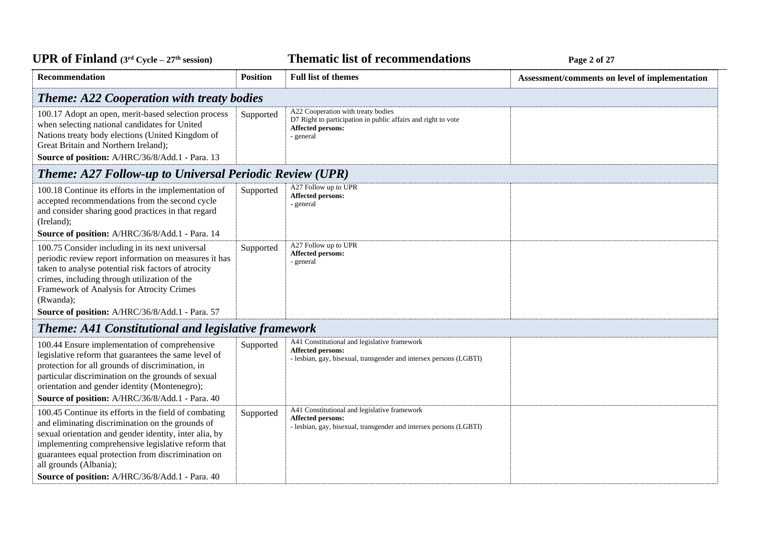| <b>UPR of Finland</b> ( $3rd$ Cycle – $27th$ session) |  |
|-------------------------------------------------------|--|
|-------------------------------------------------------|--|

*C***ELE <b>EXECUTE: CYCLE 2 Page 2** of 27

| Recommendation                                                                                                                                                                                                                                                                                                                                               | <b>Position</b> | <b>Full list of themes</b>                                                                                                                     | Assessment/comments on level of implementation |  |
|--------------------------------------------------------------------------------------------------------------------------------------------------------------------------------------------------------------------------------------------------------------------------------------------------------------------------------------------------------------|-----------------|------------------------------------------------------------------------------------------------------------------------------------------------|------------------------------------------------|--|
| <b>Theme: A22 Cooperation with treaty bodies</b>                                                                                                                                                                                                                                                                                                             |                 |                                                                                                                                                |                                                |  |
| 100.17 Adopt an open, merit-based selection process<br>when selecting national candidates for United<br>Nations treaty body elections (United Kingdom of<br>Great Britain and Northern Ireland);<br>Source of position: A/HRC/36/8/Add.1 - Para. 13                                                                                                          | Supported       | A22 Cooperation with treaty bodies<br>D7 Right to participation in public affairs and right to vote<br><b>Affected persons:</b><br>- general   |                                                |  |
| <b>Theme: A27 Follow-up to Universal Periodic Review (UPR)</b>                                                                                                                                                                                                                                                                                               |                 |                                                                                                                                                |                                                |  |
| 100.18 Continue its efforts in the implementation of<br>accepted recommendations from the second cycle<br>and consider sharing good practices in that regard<br>(Ireland);<br>Source of position: A/HRC/36/8/Add.1 - Para. 14                                                                                                                                | Supported       | A27 Follow up to UPR<br>Affected persons:<br>- general                                                                                         |                                                |  |
| 100.75 Consider including in its next universal<br>periodic review report information on measures it has<br>taken to analyse potential risk factors of atrocity<br>crimes, including through utilization of the<br>Framework of Analysis for Atrocity Crimes<br>(Rwanda);<br>Source of position: A/HRC/36/8/Add.1 - Para. 57                                 | Supported       | A27 Follow up to UPR<br><b>Affected persons:</b><br>- general                                                                                  |                                                |  |
| <b>Theme: A41 Constitutional and legislative framework</b>                                                                                                                                                                                                                                                                                                   |                 |                                                                                                                                                |                                                |  |
| 100.44 Ensure implementation of comprehensive<br>legislative reform that guarantees the same level of<br>protection for all grounds of discrimination, in<br>particular discrimination on the grounds of sexual<br>orientation and gender identity (Montenegro);<br>Source of position: A/HRC/36/8/Add.1 - Para. 40                                          | Supported       | A41 Constitutional and legislative framework<br><b>Affected persons:</b><br>- lesbian, gay, bisexual, transgender and intersex persons (LGBTI) |                                                |  |
| 100.45 Continue its efforts in the field of combating<br>and eliminating discrimination on the grounds of<br>sexual orientation and gender identity, inter alia, by<br>implementing comprehensive legislative reform that<br>guarantees equal protection from discrimination on<br>all grounds (Albania);<br>Source of position: A/HRC/36/8/Add.1 - Para. 40 | Supported       | A41 Constitutional and legislative framework<br>Affected persons:<br>- lesbian, gay, bisexual, transgender and intersex persons (LGBTI)        |                                                |  |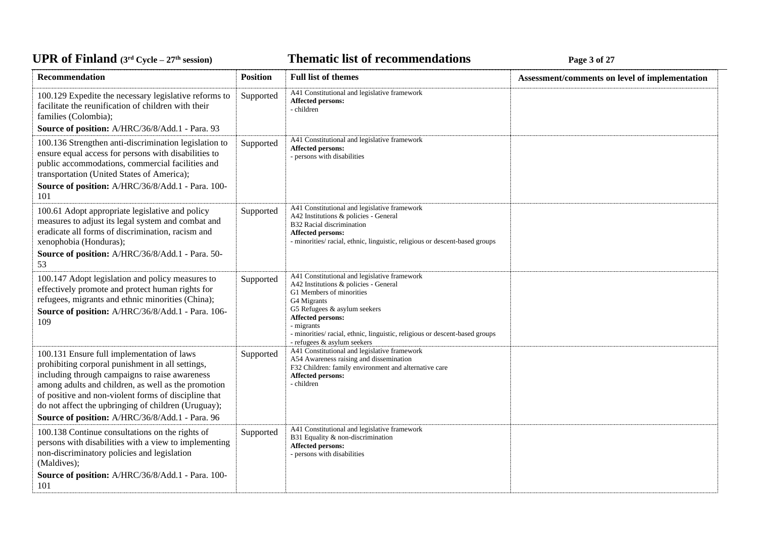# UPR of Finland  $(3^{\text{rd}}$  Cycle -  $27^{\text{th}}$  session)

*C***ELE <b>EXECUTE: CYCLE 27E 27E 27E 27E 27E** 27**P** 27**E** 

| Recommendation                                                                                                                                                                                                                                                                                                                                                            | <b>Position</b> | <b>Full list of themes</b>                                                                                                                                                                                                                                                                                       | Assessment/comments on level of implementation |
|---------------------------------------------------------------------------------------------------------------------------------------------------------------------------------------------------------------------------------------------------------------------------------------------------------------------------------------------------------------------------|-----------------|------------------------------------------------------------------------------------------------------------------------------------------------------------------------------------------------------------------------------------------------------------------------------------------------------------------|------------------------------------------------|
| 100.129 Expedite the necessary legislative reforms to<br>facilitate the reunification of children with their<br>families (Colombia);                                                                                                                                                                                                                                      | Supported       | A41 Constitutional and legislative framework<br><b>Affected persons:</b><br>- children                                                                                                                                                                                                                           |                                                |
| Source of position: A/HRC/36/8/Add.1 - Para. 93                                                                                                                                                                                                                                                                                                                           |                 |                                                                                                                                                                                                                                                                                                                  |                                                |
| 100.136 Strengthen anti-discrimination legislation to<br>ensure equal access for persons with disabilities to<br>public accommodations, commercial facilities and<br>transportation (United States of America);<br>Source of position: A/HRC/36/8/Add.1 - Para. 100-<br>101                                                                                               | Supported       | A41 Constitutional and legislative framework<br>Affected persons:<br>- persons with disabilities                                                                                                                                                                                                                 |                                                |
| 100.61 Adopt appropriate legislative and policy<br>measures to adjust its legal system and combat and<br>eradicate all forms of discrimination, racism and<br>xenophobia (Honduras);<br>Source of position: A/HRC/36/8/Add.1 - Para. 50-                                                                                                                                  | Supported       | A41 Constitutional and legislative framework<br>A42 Institutions & policies - General<br>B32 Racial discrimination<br><b>Affected persons:</b><br>- minorities/racial, ethnic, linguistic, religious or descent-based groups                                                                                     |                                                |
| 53                                                                                                                                                                                                                                                                                                                                                                        |                 |                                                                                                                                                                                                                                                                                                                  |                                                |
| 100.147 Adopt legislation and policy measures to<br>effectively promote and protect human rights for<br>refugees, migrants and ethnic minorities (China);<br>Source of position: A/HRC/36/8/Add.1 - Para. 106-<br>109                                                                                                                                                     | Supported       | A41 Constitutional and legislative framework<br>A42 Institutions & policies - General<br>G1 Members of minorities<br>G4 Migrants<br>G5 Refugees & asylum seekers<br>Affected persons:<br>- migrants<br>- minorities/racial, ethnic, linguistic, religious or descent-based groups<br>- refugees & asylum seekers |                                                |
| 100.131 Ensure full implementation of laws<br>prohibiting corporal punishment in all settings,<br>including through campaigns to raise awareness<br>among adults and children, as well as the promotion<br>of positive and non-violent forms of discipline that<br>do not affect the upbringing of children (Uruguay);<br>Source of position: A/HRC/36/8/Add.1 - Para. 96 | Supported       | A41 Constitutional and legislative framework<br>A54 Awareness raising and dissemination<br>F32 Children: family environment and alternative care<br>Affected persons:<br>- children                                                                                                                              |                                                |
| 100.138 Continue consultations on the rights of<br>persons with disabilities with a view to implementing<br>non-discriminatory policies and legislation<br>(Maldives);<br>Source of position: A/HRC/36/8/Add.1 - Para. 100-<br>101                                                                                                                                        | Supported       | A41 Constitutional and legislative framework<br>B31 Equality & non-discrimination<br>Affected persons:<br>- persons with disabilities                                                                                                                                                                            |                                                |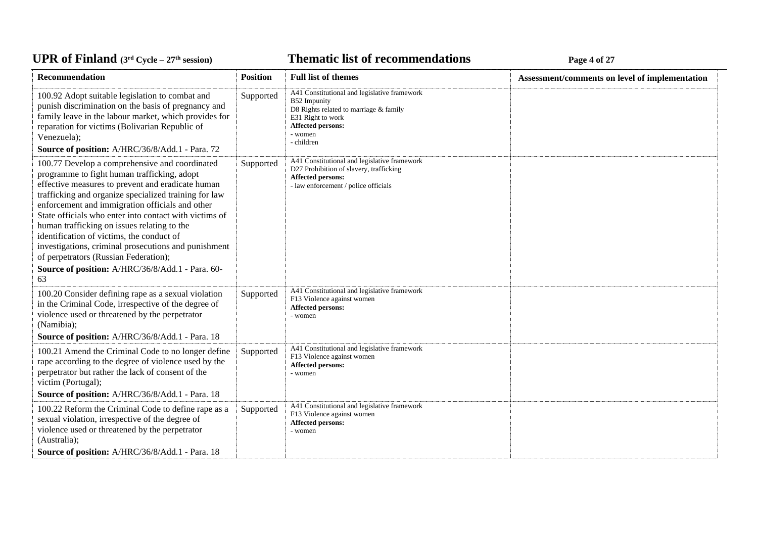# *C***ELE <b>EXECUTE: CYCLE 27E 127E 127E 127E 127E 127E 127E 127E** 127**E**

| Recommendation                                                                                                                                                                                                                                                                                                                                                                                                                                                                                                                                                                  | <b>Position</b> | <b>Full list of themes</b>                                                                                                                                                | Assessment/comments on level of implementation |
|---------------------------------------------------------------------------------------------------------------------------------------------------------------------------------------------------------------------------------------------------------------------------------------------------------------------------------------------------------------------------------------------------------------------------------------------------------------------------------------------------------------------------------------------------------------------------------|-----------------|---------------------------------------------------------------------------------------------------------------------------------------------------------------------------|------------------------------------------------|
| 100.92 Adopt suitable legislation to combat and<br>punish discrimination on the basis of pregnancy and<br>family leave in the labour market, which provides for<br>reparation for victims (Bolivarian Republic of<br>Venezuela);<br>Source of position: A/HRC/36/8/Add.1 - Para. 72                                                                                                                                                                                                                                                                                             | Supported       | A41 Constitutional and legislative framework<br>B52 Impunity<br>D8 Rights related to marriage & family<br>E31 Right to work<br>Affected persons:<br>- women<br>- children |                                                |
| 100.77 Develop a comprehensive and coordinated<br>programme to fight human trafficking, adopt<br>effective measures to prevent and eradicate human<br>trafficking and organize specialized training for law<br>enforcement and immigration officials and other<br>State officials who enter into contact with victims of<br>human trafficking on issues relating to the<br>identification of victims, the conduct of<br>investigations, criminal prosecutions and punishment<br>of perpetrators (Russian Federation);<br>Source of position: A/HRC/36/8/Add.1 - Para. 60-<br>63 | Supported       | A41 Constitutional and legislative framework<br>D27 Prohibition of slavery, trafficking<br><b>Affected persons:</b><br>- law enforcement / police officials               |                                                |
| 100.20 Consider defining rape as a sexual violation<br>in the Criminal Code, irrespective of the degree of<br>violence used or threatened by the perpetrator<br>(Namibia);<br>Source of position: A/HRC/36/8/Add.1 - Para. 18                                                                                                                                                                                                                                                                                                                                                   | Supported       | A41 Constitutional and legislative framework<br>F13 Violence against women<br>Affected persons:<br>- women                                                                |                                                |
| 100.21 Amend the Criminal Code to no longer define<br>rape according to the degree of violence used by the<br>perpetrator but rather the lack of consent of the<br>victim (Portugal);<br>Source of position: A/HRC/36/8/Add.1 - Para. 18                                                                                                                                                                                                                                                                                                                                        | Supported       | A41 Constitutional and legislative framework<br>F13 Violence against women<br><b>Affected persons:</b><br>- women                                                         |                                                |
| 100.22 Reform the Criminal Code to define rape as a<br>sexual violation, irrespective of the degree of<br>violence used or threatened by the perpetrator<br>(Australia);<br>Source of position: A/HRC/36/8/Add.1 - Para. 18                                                                                                                                                                                                                                                                                                                                                     | Supported       | A41 Constitutional and legislative framework<br>F13 Violence against women<br>Affected persons:<br>- women                                                                |                                                |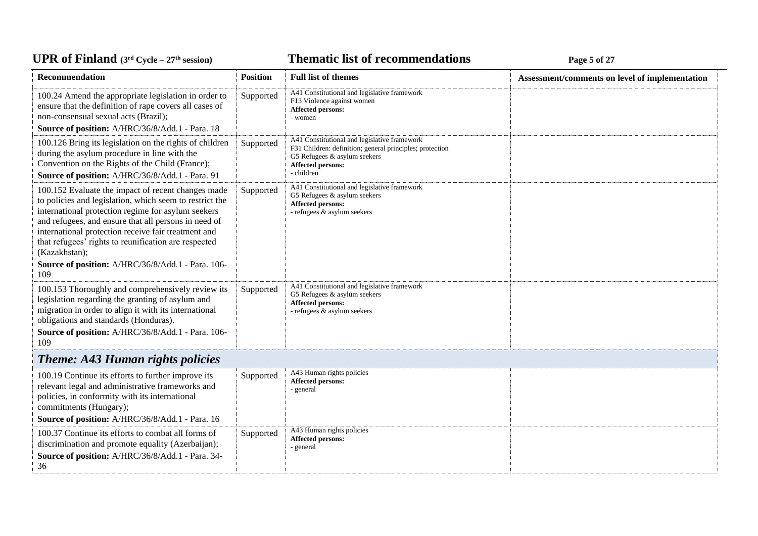# *C***ELE <b>EXECUTE: CYCLE 27E 127E 127E 127E 127E 127E 127E 127E** 127**E**

| Recommendation                                                                                                                                                                                                                                                                                                                                                                                                          | <b>Position</b> | <b>Full list of themes</b>                                                                                                                                                         | Assessment/comments on level of implementation |
|-------------------------------------------------------------------------------------------------------------------------------------------------------------------------------------------------------------------------------------------------------------------------------------------------------------------------------------------------------------------------------------------------------------------------|-----------------|------------------------------------------------------------------------------------------------------------------------------------------------------------------------------------|------------------------------------------------|
| 100.24 Amend the appropriate legislation in order to<br>ensure that the definition of rape covers all cases of<br>non-consensual sexual acts (Brazil);<br>Source of position: A/HRC/36/8/Add.1 - Para. 18                                                                                                                                                                                                               | Supported       | A41 Constitutional and legislative framework<br>F13 Violence against women<br>Affected persons:<br>- women                                                                         |                                                |
| 100.126 Bring its legislation on the rights of children<br>during the asylum procedure in line with the<br>Convention on the Rights of the Child (France);<br>Source of position: A/HRC/36/8/Add.1 - Para. 91                                                                                                                                                                                                           | Supported       | A41 Constitutional and legislative framework<br>F31 Children: definition; general principles; protection<br>G5 Refugees & asylum seekers<br><b>Affected persons:</b><br>- children |                                                |
| 100.152 Evaluate the impact of recent changes made<br>to policies and legislation, which seem to restrict the<br>international protection regime for asylum seekers<br>and refugees, and ensure that all persons in need of<br>international protection receive fair treatment and<br>that refugees' rights to reunification are respected<br>(Kazakhstan);<br>Source of position: A/HRC/36/8/Add.1 - Para. 106-<br>109 | Supported       | A41 Constitutional and legislative framework<br>G5 Refugees & asylum seekers<br><b>Affected persons:</b><br>- refugees & asylum seekers                                            |                                                |
| 100.153 Thoroughly and comprehensively review its<br>legislation regarding the granting of asylum and<br>migration in order to align it with its international<br>obligations and standards (Honduras).<br>Source of position: A/HRC/36/8/Add.1 - Para. 106-<br>109                                                                                                                                                     | Supported       | A41 Constitutional and legislative framework<br>G5 Refugees & asylum seekers<br>Affected persons:<br>- refugees & asylum seekers                                                   |                                                |
| <b>Theme: A43 Human rights policies</b>                                                                                                                                                                                                                                                                                                                                                                                 |                 |                                                                                                                                                                                    |                                                |
| 100.19 Continue its efforts to further improve its<br>relevant legal and administrative frameworks and<br>policies, in conformity with its international<br>commitments (Hungary);<br>Source of position: A/HRC/36/8/Add.1 - Para. 16                                                                                                                                                                                   | Supported       | A43 Human rights policies<br>Affected persons:<br>- general                                                                                                                        |                                                |
| 100.37 Continue its efforts to combat all forms of<br>discrimination and promote equality (Azerbaijan);<br>Source of position: A/HRC/36/8/Add.1 - Para. 34-<br>36                                                                                                                                                                                                                                                       | Supported       | A43 Human rights policies<br>Affected persons:<br>- general                                                                                                                        |                                                |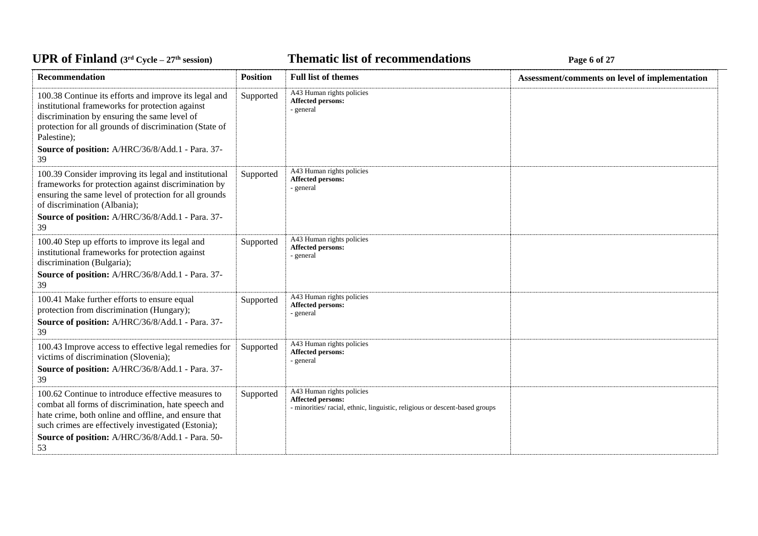*C***ELE <b>EXECUTE: CYCLE 27E 12E Cycle 27E 12E Cycle 27E 12E Cycle 27E Cycle 27** 

| Recommendation                                                                                                                                                                                                                                                                        | <b>Position</b> | <b>Full list of themes</b>                                                                                                    | Assessment/comments on level of implementation |
|---------------------------------------------------------------------------------------------------------------------------------------------------------------------------------------------------------------------------------------------------------------------------------------|-----------------|-------------------------------------------------------------------------------------------------------------------------------|------------------------------------------------|
| 100.38 Continue its efforts and improve its legal and<br>institutional frameworks for protection against<br>discrimination by ensuring the same level of<br>protection for all grounds of discrimination (State of<br>Palestine);<br>Source of position: A/HRC/36/8/Add.1 - Para. 37- | Supported       | A43 Human rights policies<br>Affected persons:<br>- general                                                                   |                                                |
| 39                                                                                                                                                                                                                                                                                    |                 |                                                                                                                               |                                                |
| 100.39 Consider improving its legal and institutional<br>frameworks for protection against discrimination by<br>ensuring the same level of protection for all grounds<br>of discrimination (Albania);<br>Source of position: A/HRC/36/8/Add.1 - Para. 37-<br>39                       | Supported       | A43 Human rights policies<br>Affected persons:<br>- general                                                                   |                                                |
| 100.40 Step up efforts to improve its legal and<br>institutional frameworks for protection against<br>discrimination (Bulgaria);<br>Source of position: A/HRC/36/8/Add.1 - Para. 37-<br>39                                                                                            | Supported       | A43 Human rights policies<br>Affected persons:<br>- general                                                                   |                                                |
| 100.41 Make further efforts to ensure equal<br>protection from discrimination (Hungary);<br>Source of position: A/HRC/36/8/Add.1 - Para. 37-<br>39                                                                                                                                    | Supported       | A43 Human rights policies<br>Affected persons:<br>- general                                                                   |                                                |
| 100.43 Improve access to effective legal remedies for<br>victims of discrimination (Slovenia);<br>Source of position: A/HRC/36/8/Add.1 - Para. 37-<br>39                                                                                                                              | Supported       | A43 Human rights policies<br>Affected persons:<br>- general                                                                   |                                                |
| 100.62 Continue to introduce effective measures to<br>combat all forms of discrimination, hate speech and<br>hate crime, both online and offline, and ensure that<br>such crimes are effectively investigated (Estonia);<br>Source of position: A/HRC/36/8/Add.1 - Para. 50-<br>53    | Supported       | A43 Human rights policies<br>Affected persons:<br>- minorities/ racial, ethnic, linguistic, religious or descent-based groups |                                                |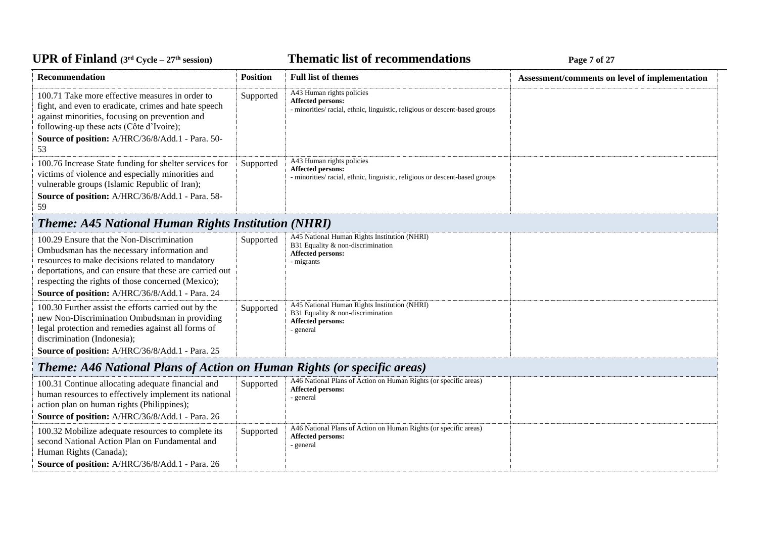#### *C***ELE <b>EXECUTE: CYCLE 27 Page 7 of 27 Page 7 of 27**

| <b>Position</b>                                                                                                  | <b>Full list of themes</b>                                                                                                           | Assessment/comments on level of implementation                                                                                               |
|------------------------------------------------------------------------------------------------------------------|--------------------------------------------------------------------------------------------------------------------------------------|----------------------------------------------------------------------------------------------------------------------------------------------|
| Supported                                                                                                        | A43 Human rights policies<br>Affected persons:<br>- minorities/ racial, ethnic, linguistic, religious or descent-based groups        |                                                                                                                                              |
| Supported                                                                                                        | A43 Human rights policies<br><b>Affected persons:</b><br>- minorities/ racial, ethnic, linguistic, religious or descent-based groups |                                                                                                                                              |
|                                                                                                                  |                                                                                                                                      |                                                                                                                                              |
| Supported                                                                                                        | A45 National Human Rights Institution (NHRI)<br>B31 Equality & non-discrimination<br><b>Affected persons:</b><br>- migrants          |                                                                                                                                              |
| Supported                                                                                                        | A45 National Human Rights Institution (NHRI)<br>B31 Equality & non-discrimination<br>Affected persons:<br>- general                  |                                                                                                                                              |
|                                                                                                                  |                                                                                                                                      |                                                                                                                                              |
| Supported                                                                                                        | A46 National Plans of Action on Human Rights (or specific areas)<br><b>Affected persons:</b><br>- general                            |                                                                                                                                              |
| Supported                                                                                                        | A46 National Plans of Action on Human Rights (or specific areas)<br>Affected persons:<br>- general                                   |                                                                                                                                              |
| deportations, and can ensure that these are carried out<br>human resources to effectively implement its national |                                                                                                                                      | <b>Theme: A45 National Human Rights Institution (NHRI)</b><br><b>Theme: A46 National Plans of Action on Human Rights (or specific areas)</b> |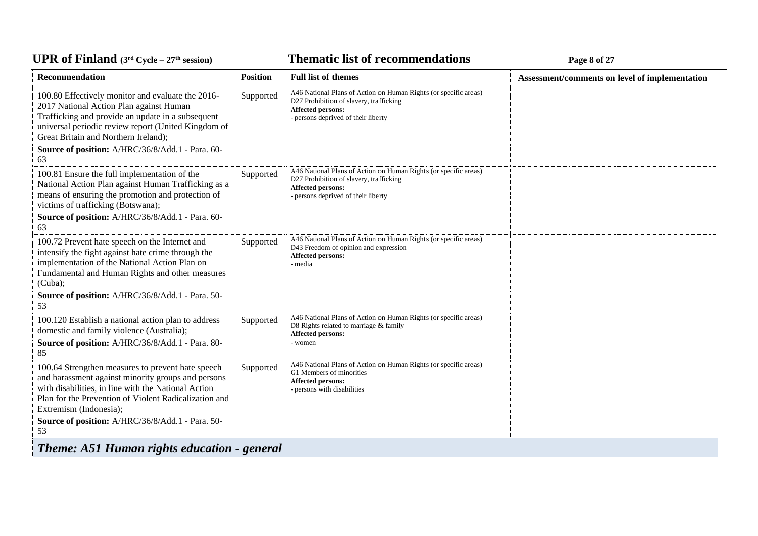# *C***ELE <b>EXECUTE: CYCLE 27E 27E 27E 27E 27E 27E** 27**P** 27**E**

| Recommendation                                                                                                                                                                                                                                                                                              | <b>Position</b> | <b>Full list of themes</b>                                                                                                                                                     | Assessment/comments on level of implementation |
|-------------------------------------------------------------------------------------------------------------------------------------------------------------------------------------------------------------------------------------------------------------------------------------------------------------|-----------------|--------------------------------------------------------------------------------------------------------------------------------------------------------------------------------|------------------------------------------------|
| 100.80 Effectively monitor and evaluate the 2016-<br>2017 National Action Plan against Human<br>Trafficking and provide an update in a subsequent<br>universal periodic review report (United Kingdom of<br>Great Britain and Northern Ireland);<br>Source of position: A/HRC/36/8/Add.1 - Para. 60-<br>63  | Supported       | A46 National Plans of Action on Human Rights (or specific areas)<br>D27 Prohibition of slavery, trafficking<br><b>Affected persons:</b><br>- persons deprived of their liberty |                                                |
| 100.81 Ensure the full implementation of the<br>National Action Plan against Human Trafficking as a<br>means of ensuring the promotion and protection of<br>victims of trafficking (Botswana);<br>Source of position: A/HRC/36/8/Add.1 - Para. 60-<br>63                                                    | Supported       | A46 National Plans of Action on Human Rights (or specific areas)<br>D27 Prohibition of slavery, trafficking<br>Affected persons:<br>- persons deprived of their liberty        |                                                |
| 100.72 Prevent hate speech on the Internet and<br>intensify the fight against hate crime through the<br>implementation of the National Action Plan on<br>Fundamental and Human Rights and other measures<br>(Cuba);<br>Source of position: A/HRC/36/8/Add.1 - Para. 50-<br>53                               | Supported       | A46 National Plans of Action on Human Rights (or specific areas)<br>D43 Freedom of opinion and expression<br>Affected persons:<br>- media                                      |                                                |
| 100.120 Establish a national action plan to address<br>domestic and family violence (Australia);<br>Source of position: A/HRC/36/8/Add.1 - Para. 80-<br>85                                                                                                                                                  | Supported       | A46 National Plans of Action on Human Rights (or specific areas)<br>D8 Rights related to marriage & family<br>Affected persons:<br>- women                                     |                                                |
| 100.64 Strengthen measures to prevent hate speech<br>and harassment against minority groups and persons<br>with disabilities, in line with the National Action<br>Plan for the Prevention of Violent Radicalization and<br>Extremism (Indonesia);<br>Source of position: A/HRC/36/8/Add.1 - Para. 50-<br>53 | Supported       | A46 National Plans of Action on Human Rights (or specific areas)<br>G1 Members of minorities<br>Affected persons:<br>- persons with disabilities                               |                                                |
| Theme: A51 Human rights education - general                                                                                                                                                                                                                                                                 |                 |                                                                                                                                                                                |                                                |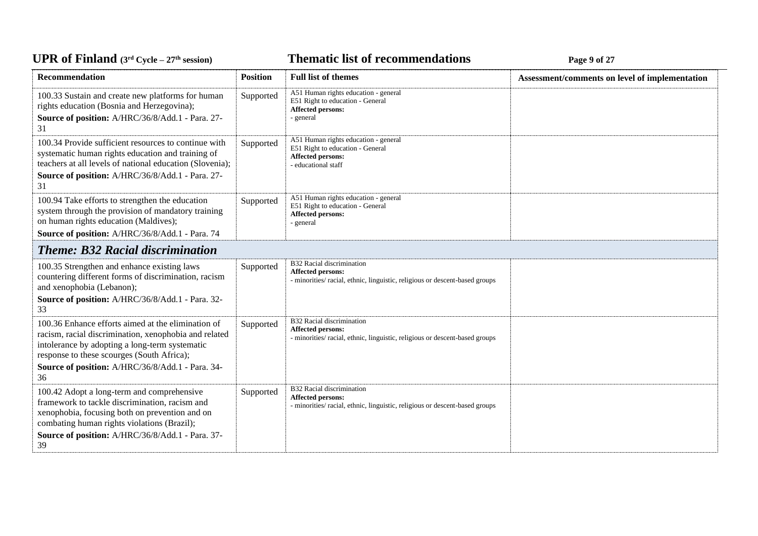# *C***ELE <b>EXECUTE: CYCLE 27E <b>EXECUTE: Page 9** of 27

| <b>Recommendation</b>                                                                                                                                                                                                                                                 | <b>Position</b> | <b>Full list of themes</b>                                                                                                    | Assessment/comments on level of implementation |
|-----------------------------------------------------------------------------------------------------------------------------------------------------------------------------------------------------------------------------------------------------------------------|-----------------|-------------------------------------------------------------------------------------------------------------------------------|------------------------------------------------|
| 100.33 Sustain and create new platforms for human<br>rights education (Bosnia and Herzegovina);<br>Source of position: A/HRC/36/8/Add.1 - Para. 27-<br>31                                                                                                             | Supported       | A51 Human rights education - general<br>E51 Right to education - General<br>Affected persons:<br>- general                    |                                                |
| 100.34 Provide sufficient resources to continue with<br>systematic human rights education and training of<br>teachers at all levels of national education (Slovenia);<br>Source of position: A/HRC/36/8/Add.1 - Para. 27-<br>31                                       | Supported       | A51 Human rights education - general<br>E51 Right to education - General<br>Affected persons:<br>- educational staff          |                                                |
| 100.94 Take efforts to strengthen the education<br>system through the provision of mandatory training<br>on human rights education (Maldives);<br>Source of position: A/HRC/36/8/Add.1 - Para. 74                                                                     | Supported       | A51 Human rights education - general<br>E51 Right to education - General<br>Affected persons:<br>- general                    |                                                |
| <b>Theme: B32 Racial discrimination</b>                                                                                                                                                                                                                               |                 |                                                                                                                               |                                                |
| 100.35 Strengthen and enhance existing laws<br>countering different forms of discrimination, racism<br>and xenophobia (Lebanon);<br>Source of position: A/HRC/36/8/Add.1 - Para. 32-<br>33                                                                            | Supported       | B32 Racial discrimination<br>Affected persons:<br>- minorities/racial, ethnic, linguistic, religious or descent-based groups  |                                                |
| 100.36 Enhance efforts aimed at the elimination of<br>racism, racial discrimination, xenophobia and related<br>intolerance by adopting a long-term systematic<br>response to these scourges (South Africa);<br>Source of position: A/HRC/36/8/Add.1 - Para. 34-<br>36 | Supported       | B32 Racial discrimination<br>Affected persons:<br>- minorities/racial, ethnic, linguistic, religious or descent-based groups  |                                                |
| 100.42 Adopt a long-term and comprehensive<br>framework to tackle discrimination, racism and<br>xenophobia, focusing both on prevention and on<br>combating human rights violations (Brazil);<br>Source of position: A/HRC/36/8/Add.1 - Para. 37-<br>39               | Supported       | B32 Racial discrimination<br>Affected persons:<br>- minorities/ racial, ethnic, linguistic, religious or descent-based groups |                                                |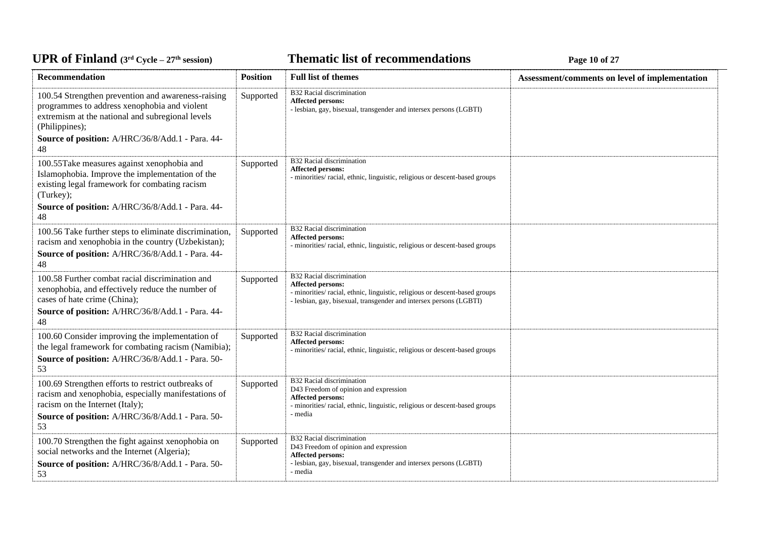# *C***ELE <b>EXECUTE: CYCLE 27E 27E 27E 27E 27E 27E** 27**P** 27

| Recommendation                                                                                                                                                                                                                     | <b>Position</b> | <b>Full list of themes</b>                                                                                                                                                                          | Assessment/comments on level of implementation |
|------------------------------------------------------------------------------------------------------------------------------------------------------------------------------------------------------------------------------------|-----------------|-----------------------------------------------------------------------------------------------------------------------------------------------------------------------------------------------------|------------------------------------------------|
| 100.54 Strengthen prevention and awareness-raising<br>programmes to address xenophobia and violent<br>extremism at the national and subregional levels<br>(Philippines);<br>Source of position: A/HRC/36/8/Add.1 - Para. 44-<br>48 | Supported       | B32 Racial discrimination<br>Affected persons:<br>- lesbian, gay, bisexual, transgender and intersex persons (LGBTI)                                                                                |                                                |
| 100.55Take measures against xenophobia and<br>Islamophobia. Improve the implementation of the<br>existing legal framework for combating racism<br>(Turkey);<br>Source of position: A/HRC/36/8/Add.1 - Para. 44-<br>48              | Supported       | B32 Racial discrimination<br>Affected persons:<br>- minorities/ racial, ethnic, linguistic, religious or descent-based groups                                                                       |                                                |
| 100.56 Take further steps to eliminate discrimination,<br>racism and xenophobia in the country (Uzbekistan);<br>Source of position: A/HRC/36/8/Add.1 - Para. 44-<br>48                                                             | Supported       | B32 Racial discrimination<br>Affected persons:<br>- minorities/ racial, ethnic, linguistic, religious or descent-based groups                                                                       |                                                |
| 100.58 Further combat racial discrimination and<br>xenophobia, and effectively reduce the number of<br>cases of hate crime (China);<br>Source of position: A/HRC/36/8/Add.1 - Para. 44-<br>48                                      | Supported       | B32 Racial discrimination<br>Affected persons:<br>- minorities/ racial, ethnic, linguistic, religious or descent-based groups<br>- lesbian, gay, bisexual, transgender and intersex persons (LGBTI) |                                                |
| 100.60 Consider improving the implementation of<br>the legal framework for combating racism (Namibia);<br>Source of position: A/HRC/36/8/Add.1 - Para. 50-<br>53                                                                   | Supported       | B32 Racial discrimination<br>Affected persons:<br>- minorities/ racial, ethnic, linguistic, religious or descent-based groups                                                                       |                                                |
| 100.69 Strengthen efforts to restrict outbreaks of<br>racism and xenophobia, especially manifestations of<br>racism on the Internet (Italy);<br>Source of position: A/HRC/36/8/Add.1 - Para. 50-<br>53                             | Supported       | B32 Racial discrimination<br>D43 Freedom of opinion and expression<br><b>Affected persons:</b><br>- minorities/ racial, ethnic, linguistic, religious or descent-based groups<br>- media            |                                                |
| 100.70 Strengthen the fight against xenophobia on<br>social networks and the Internet (Algeria);<br>Source of position: A/HRC/36/8/Add.1 - Para. 50-<br>53                                                                         | Supported       | B32 Racial discrimination<br>D43 Freedom of opinion and expression<br><b>Affected persons:</b><br>- lesbian, gay, bisexual, transgender and intersex persons (LGBTI)<br>- media                     |                                                |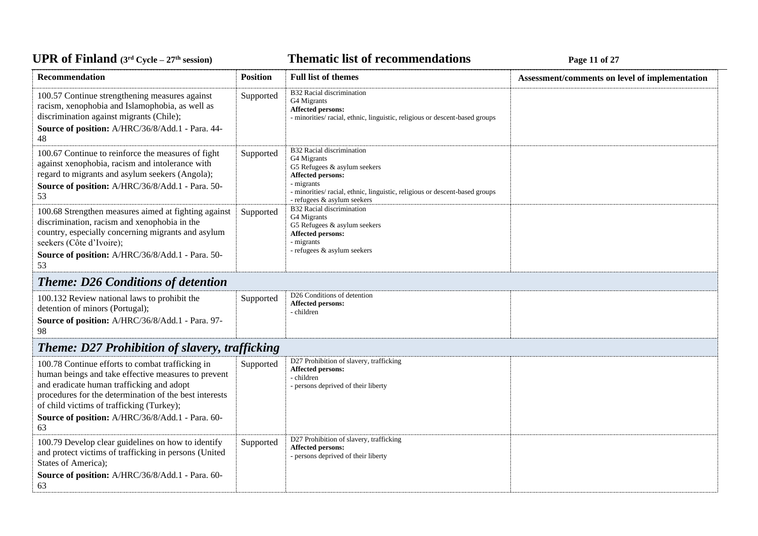# *C***ELE – <b>27E CYCLE 27E CYCLE 27E CYCLE 27E CYCLE 27E CYCLE CONDENS**

| Recommendation                                                                                                                                                                                                                                                                                                        | <b>Position</b> | <b>Full list of themes</b>                                                                                                                                                                                                  | Assessment/comments on level of implementation |
|-----------------------------------------------------------------------------------------------------------------------------------------------------------------------------------------------------------------------------------------------------------------------------------------------------------------------|-----------------|-----------------------------------------------------------------------------------------------------------------------------------------------------------------------------------------------------------------------------|------------------------------------------------|
| 100.57 Continue strengthening measures against<br>racism, xenophobia and Islamophobia, as well as<br>discrimination against migrants (Chile);<br>Source of position: A/HRC/36/8/Add.1 - Para. 44-<br>48                                                                                                               | Supported       | B32 Racial discrimination<br>G4 Migrants<br>Affected persons:<br>- minorities/ racial, ethnic, linguistic, religious or descent-based groups                                                                                |                                                |
| 100.67 Continue to reinforce the measures of fight<br>against xenophobia, racism and intolerance with<br>regard to migrants and asylum seekers (Angola);<br>Source of position: A/HRC/36/8/Add.1 - Para. 50-<br>53                                                                                                    | Supported       | B32 Racial discrimination<br>G4 Migrants<br>G5 Refugees $&$ asylum seekers<br>Affected persons:<br>- migrants<br>- minorities/ racial, ethnic, linguistic, religious or descent-based groups<br>- refugees & asylum seekers |                                                |
| 100.68 Strengthen measures aimed at fighting against<br>discrimination, racism and xenophobia in the<br>country, especially concerning migrants and asylum<br>seekers (Côte d'Ivoire);<br>Source of position: A/HRC/36/8/Add.1 - Para. 50-<br>53                                                                      | Supported       | <b>B32 Racial discrimination</b><br>G4 Migrants<br>G5 Refugees & asylum seekers<br><b>Affected persons:</b><br>- migrants<br>- refugees & asylum seekers                                                                    |                                                |
| <b>Theme: D26 Conditions of detention</b>                                                                                                                                                                                                                                                                             |                 |                                                                                                                                                                                                                             |                                                |
| 100.132 Review national laws to prohibit the<br>detention of minors (Portugal);<br>Source of position: A/HRC/36/8/Add.1 - Para. 97-<br>98                                                                                                                                                                             | Supported       | D <sub>26</sub> Conditions of detention<br>Affected persons:<br>- children                                                                                                                                                  |                                                |
| <b>Theme: D27 Prohibition of slavery, trafficking</b>                                                                                                                                                                                                                                                                 |                 |                                                                                                                                                                                                                             |                                                |
| 100.78 Continue efforts to combat trafficking in<br>human beings and take effective measures to prevent<br>and eradicate human trafficking and adopt<br>procedures for the determination of the best interests<br>of child victims of trafficking (Turkey);<br>Source of position: A/HRC/36/8/Add.1 - Para. 60-<br>63 | Supported       | D27 Prohibition of slavery, trafficking<br>Affected persons:<br>- children<br>- persons deprived of their liberty                                                                                                           |                                                |
| 100.79 Develop clear guidelines on how to identify<br>and protect victims of trafficking in persons (United<br>States of America);<br>Source of position: A/HRC/36/8/Add.1 - Para. 60-<br>63                                                                                                                          | Supported       | D27 Prohibition of slavery, trafficking<br>Affected persons:<br>- persons deprived of their liberty                                                                                                                         |                                                |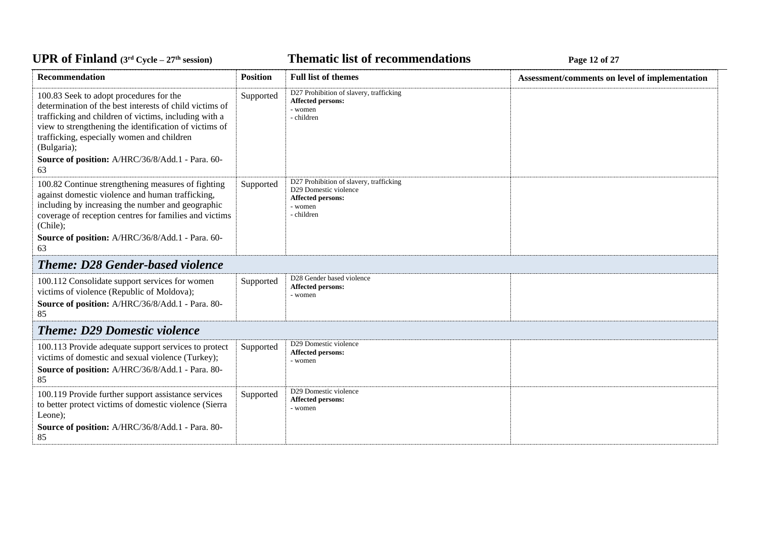# *C***ELE – <b>EXPLOMENT EXPLOMENT EXPLOMENT EXPLOMENT EXPLOSION Page 12 of 27**

| Recommendation                                                                                                                                                                                                                                                                                                                               | <b>Position</b> | <b>Full list of themes</b>                                                                                     | Assessment/comments on level of implementation |
|----------------------------------------------------------------------------------------------------------------------------------------------------------------------------------------------------------------------------------------------------------------------------------------------------------------------------------------------|-----------------|----------------------------------------------------------------------------------------------------------------|------------------------------------------------|
| 100.83 Seek to adopt procedures for the<br>determination of the best interests of child victims of<br>trafficking and children of victims, including with a<br>view to strengthening the identification of victims of<br>trafficking, especially women and children<br>(Bulgaria);<br>Source of position: A/HRC/36/8/Add.1 - Para. 60-<br>63 | Supported       | D27 Prohibition of slavery, trafficking<br>Affected persons:<br>- women<br>- children                          |                                                |
| 100.82 Continue strengthening measures of fighting<br>against domestic violence and human trafficking,<br>including by increasing the number and geographic<br>coverage of reception centres for families and victims<br>(Chile);<br>Source of position: A/HRC/36/8/Add.1 - Para. 60-<br>63                                                  | Supported       | D27 Prohibition of slavery, trafficking<br>D29 Domestic violence<br>Affected persons:<br>- women<br>- children |                                                |
| <b>Theme: D28 Gender-based violence</b>                                                                                                                                                                                                                                                                                                      |                 |                                                                                                                |                                                |
| 100.112 Consolidate support services for women<br>victims of violence (Republic of Moldova);<br>Source of position: A/HRC/36/8/Add.1 - Para. 80-<br>85                                                                                                                                                                                       | Supported       | D28 Gender based violence<br>Affected persons:<br>- women                                                      |                                                |
| <b>Theme: D29 Domestic violence</b>                                                                                                                                                                                                                                                                                                          |                 |                                                                                                                |                                                |
| 100.113 Provide adequate support services to protect<br>victims of domestic and sexual violence (Turkey);<br>Source of position: A/HRC/36/8/Add.1 - Para. 80-<br>85                                                                                                                                                                          | Supported       | D29 Domestic violence<br>Affected persons:<br>- women                                                          |                                                |
| 100.119 Provide further support assistance services<br>to better protect victims of domestic violence (Sierra<br>Leone);<br>Source of position: A/HRC/36/8/Add.1 - Para. 80-<br>85                                                                                                                                                           | Supported       | D29 Domestic violence<br><b>Affected persons:</b><br>- women                                                   |                                                |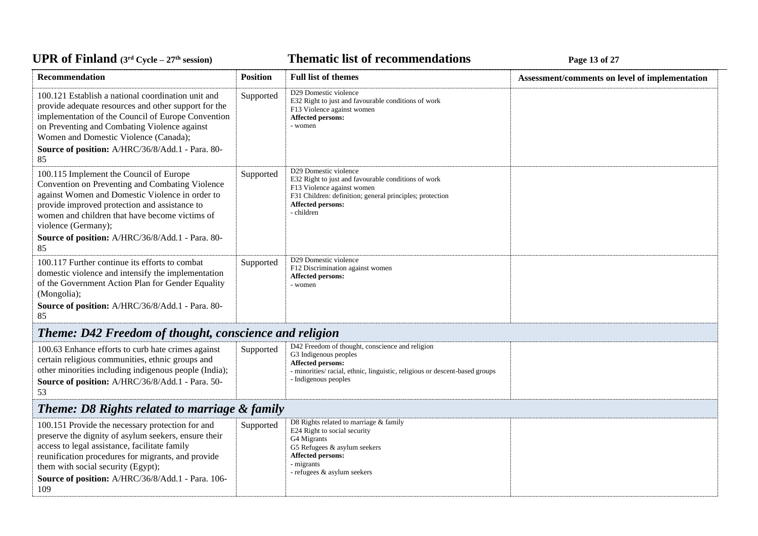# *C***ELE <b>EXECUTE: CYCLE 27E 27E 27E 27E 27E 27E** 27**P** 27

| Recommendation                                                                                                                                                                                                                                                                                                                          | <b>Position</b> | <b>Full list of themes</b>                                                                                                                                                                                  | Assessment/comments on level of implementation |
|-----------------------------------------------------------------------------------------------------------------------------------------------------------------------------------------------------------------------------------------------------------------------------------------------------------------------------------------|-----------------|-------------------------------------------------------------------------------------------------------------------------------------------------------------------------------------------------------------|------------------------------------------------|
| 100.121 Establish a national coordination unit and<br>provide adequate resources and other support for the<br>implementation of the Council of Europe Convention<br>on Preventing and Combating Violence against<br>Women and Domestic Violence (Canada);<br>Source of position: A/HRC/36/8/Add.1 - Para. 80-                           | Supported       | D29 Domestic violence<br>E32 Right to just and favourable conditions of work<br>F13 Violence against women<br>Affected persons:<br>- women                                                                  |                                                |
| 85<br>100.115 Implement the Council of Europe<br>Convention on Preventing and Combating Violence<br>against Women and Domestic Violence in order to<br>provide improved protection and assistance to<br>women and children that have become victims of<br>violence (Germany);<br>Source of position: A/HRC/36/8/Add.1 - Para. 80-<br>85 | Supported       | D29 Domestic violence<br>E32 Right to just and favourable conditions of work<br>F13 Violence against women<br>F31 Children: definition; general principles; protection<br>Affected persons:<br>- children   |                                                |
| 100.117 Further continue its efforts to combat<br>domestic violence and intensify the implementation<br>of the Government Action Plan for Gender Equality<br>(Mongolia);<br>Source of position: A/HRC/36/8/Add.1 - Para. 80-<br>85                                                                                                      | Supported       | D29 Domestic violence<br>F12 Discrimination against women<br>Affected persons:<br>- women                                                                                                                   |                                                |
| Theme: D42 Freedom of thought, conscience and religion                                                                                                                                                                                                                                                                                  |                 |                                                                                                                                                                                                             |                                                |
| 100.63 Enhance efforts to curb hate crimes against<br>certain religious communities, ethnic groups and<br>other minorities including indigenous people (India);<br>Source of position: A/HRC/36/8/Add.1 - Para. 50-<br>53                                                                                                               | Supported       | D42 Freedom of thought, conscience and religion<br>G3 Indigenous peoples<br><b>Affected persons:</b><br>- minorities/ racial, ethnic, linguistic, religious or descent-based groups<br>- Indigenous peoples |                                                |
| <b>Theme: D8 Rights related to marriage &amp; family</b>                                                                                                                                                                                                                                                                                |                 |                                                                                                                                                                                                             |                                                |
| 100.151 Provide the necessary protection for and<br>preserve the dignity of asylum seekers, ensure their<br>access to legal assistance, facilitate family<br>reunification procedures for migrants, and provide<br>them with social security (Egypt);<br>Source of position: A/HRC/36/8/Add.1 - Para. 106-<br>109                       | Supported       | D8 Rights related to marriage & family<br>E24 Right to social security<br>G4 Migrants<br>G5 Refugees & asylum seekers<br>Affected persons:<br>- migrants<br>- refugees & asylum seekers                     |                                                |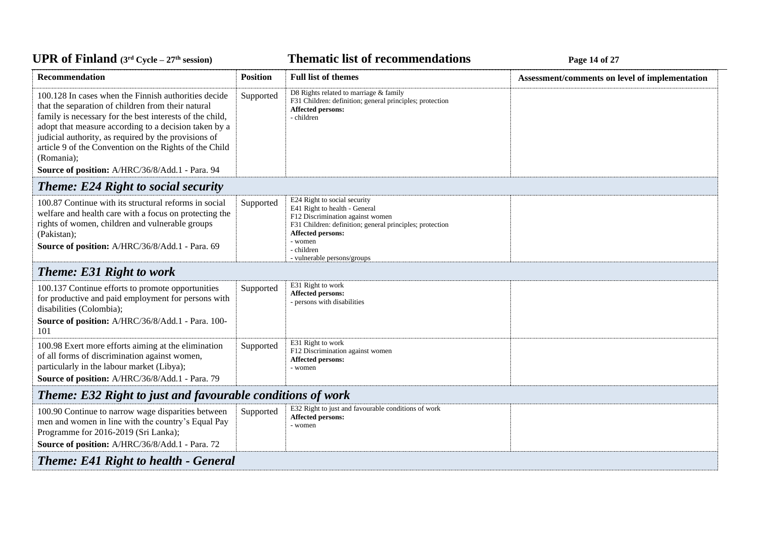# *C***ELE – <b>27 EXECUTE: CYCLE 27 Page 14 of 27 Page 14 of 27**

| Recommendation                                                                                                                                                                                                                                                                                                                                                                                                     | <b>Position</b> | <b>Full list of themes</b>                                                                                                                                                                                                                        | Assessment/comments on level of implementation |  |
|--------------------------------------------------------------------------------------------------------------------------------------------------------------------------------------------------------------------------------------------------------------------------------------------------------------------------------------------------------------------------------------------------------------------|-----------------|---------------------------------------------------------------------------------------------------------------------------------------------------------------------------------------------------------------------------------------------------|------------------------------------------------|--|
| 100.128 In cases when the Finnish authorities decide<br>that the separation of children from their natural<br>family is necessary for the best interests of the child,<br>adopt that measure according to a decision taken by a<br>judicial authority, as required by the provisions of<br>article 9 of the Convention on the Rights of the Child<br>(Romania);<br>Source of position: A/HRC/36/8/Add.1 - Para. 94 | Supported       | D8 Rights related to marriage & family<br>F31 Children: definition; general principles; protection<br>Affected persons:<br>- children                                                                                                             |                                                |  |
| <b>Theme: E24 Right to social security</b>                                                                                                                                                                                                                                                                                                                                                                         |                 |                                                                                                                                                                                                                                                   |                                                |  |
| 100.87 Continue with its structural reforms in social<br>welfare and health care with a focus on protecting the<br>rights of women, children and vulnerable groups<br>(Pakistan);<br>Source of position: A/HRC/36/8/Add.1 - Para. 69                                                                                                                                                                               | Supported       | E24 Right to social security<br>E41 Right to health - General<br>F12 Discrimination against women<br>F31 Children: definition; general principles; protection<br><b>Affected persons:</b><br>- women<br>- children<br>- vulnerable persons/groups |                                                |  |
| <b>Theme: E31 Right to work</b>                                                                                                                                                                                                                                                                                                                                                                                    |                 |                                                                                                                                                                                                                                                   |                                                |  |
| 100.137 Continue efforts to promote opportunities<br>for productive and paid employment for persons with<br>disabilities (Colombia);<br>Source of position: A/HRC/36/8/Add.1 - Para. 100-<br>101                                                                                                                                                                                                                   | Supported       | E31 Right to work<br><b>Affected persons:</b><br>- persons with disabilities                                                                                                                                                                      |                                                |  |
| 100.98 Exert more efforts aiming at the elimination<br>of all forms of discrimination against women,<br>particularly in the labour market (Libya);<br>Source of position: A/HRC/36/8/Add.1 - Para. 79                                                                                                                                                                                                              | Supported       | E31 Right to work<br>F12 Discrimination against women<br>Affected persons:<br>- women                                                                                                                                                             |                                                |  |
| Theme: E32 Right to just and favourable conditions of work                                                                                                                                                                                                                                                                                                                                                         |                 |                                                                                                                                                                                                                                                   |                                                |  |
| 100.90 Continue to narrow wage disparities between<br>men and women in line with the country's Equal Pay<br>Programme for 2016-2019 (Sri Lanka);<br>Source of position: A/HRC/36/8/Add.1 - Para. 72                                                                                                                                                                                                                | Supported       | E32 Right to just and favourable conditions of work<br>Affected persons:<br>- women                                                                                                                                                               |                                                |  |
| <b>Theme: E41 Right to health - General</b>                                                                                                                                                                                                                                                                                                                                                                        |                 |                                                                                                                                                                                                                                                   |                                                |  |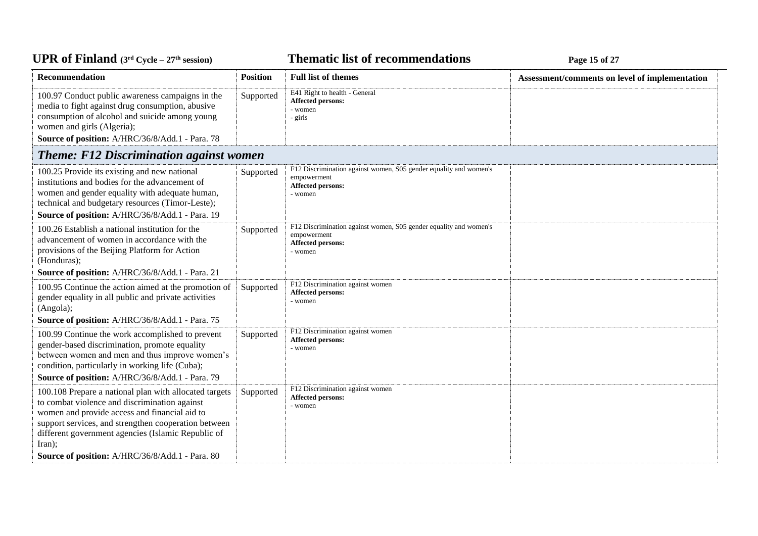#### *C***ELE <b>EXECUTE: CYCLE 27E 15 CPLE 15 CPLE 15 of 27**

| Recommendation                                                                                                                                                                                                                                                                                                                               | <b>Position</b> | <b>Full list of themes</b>                                                                                       | Assessment/comments on level of implementation |
|----------------------------------------------------------------------------------------------------------------------------------------------------------------------------------------------------------------------------------------------------------------------------------------------------------------------------------------------|-----------------|------------------------------------------------------------------------------------------------------------------|------------------------------------------------|
| 100.97 Conduct public awareness campaigns in the<br>media to fight against drug consumption, abusive<br>consumption of alcohol and suicide among young<br>women and girls (Algeria);                                                                                                                                                         | Supported       | E41 Right to health - General<br><b>Affected persons:</b><br>- women<br>- girls                                  |                                                |
| Source of position: A/HRC/36/8/Add.1 - Para. 78                                                                                                                                                                                                                                                                                              |                 |                                                                                                                  |                                                |
| <b>Theme: F12 Discrimination against women</b>                                                                                                                                                                                                                                                                                               |                 |                                                                                                                  |                                                |
| 100.25 Provide its existing and new national<br>institutions and bodies for the advancement of<br>women and gender equality with adequate human,<br>technical and budgetary resources (Timor-Leste);<br>Source of position: A/HRC/36/8/Add.1 - Para. 19                                                                                      | Supported       | F12 Discrimination against women, S05 gender equality and women's<br>empowerment<br>Affected persons:<br>- women |                                                |
| 100.26 Establish a national institution for the<br>advancement of women in accordance with the<br>provisions of the Beijing Platform for Action<br>(Honduras);                                                                                                                                                                               | Supported       | F12 Discrimination against women, S05 gender equality and women's<br>empowerment<br>Affected persons:<br>- women |                                                |
| Source of position: A/HRC/36/8/Add.1 - Para. 21                                                                                                                                                                                                                                                                                              |                 |                                                                                                                  |                                                |
| 100.95 Continue the action aimed at the promotion of<br>gender equality in all public and private activities<br>(Angola);<br>Source of position: A/HRC/36/8/Add.1 - Para. 75                                                                                                                                                                 | Supported       | F12 Discrimination against women<br>Affected persons:<br>- women                                                 |                                                |
| 100.99 Continue the work accomplished to prevent                                                                                                                                                                                                                                                                                             |                 | F12 Discrimination against women                                                                                 |                                                |
| gender-based discrimination, promote equality<br>between women and men and thus improve women's<br>condition, particularly in working life (Cuba);<br>Source of position: A/HRC/36/8/Add.1 - Para. 79                                                                                                                                        | Supported       | Affected persons:<br>- women                                                                                     |                                                |
| 100.108 Prepare a national plan with allocated targets<br>to combat violence and discrimination against<br>women and provide access and financial aid to<br>support services, and strengthen cooperation between<br>different government agencies (Islamic Republic of<br>$\text{Iran}$ :<br>Source of position: A/HRC/36/8/Add.1 - Para. 80 | Supported       | F12 Discrimination against women<br>Affected persons:<br>- women                                                 |                                                |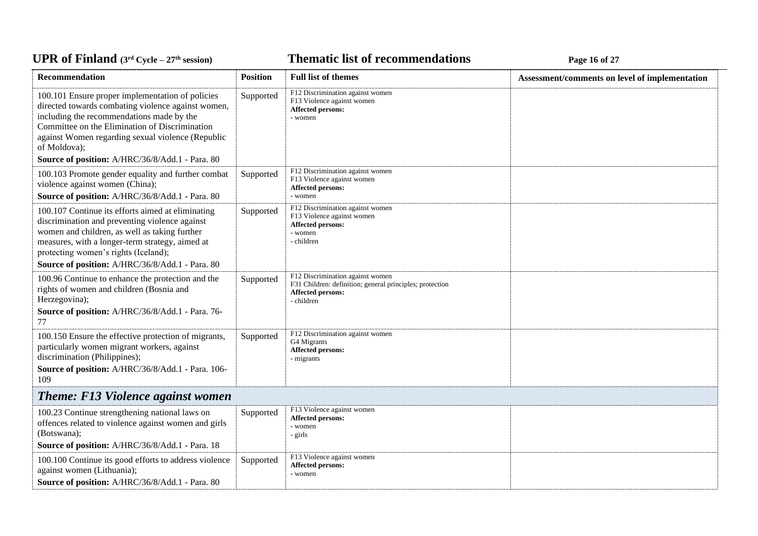#### *C***ELE <b>EXECUTE: CYCLE 27E 27E 27E 27E 27E 27E** 27**P**

| <b>Recommendation</b>                                                                                                                                                                                                                                                                              | <b>Position</b> | <b>Full list of themes</b>                                                                                                             | Assessment/comments on level of implementation |
|----------------------------------------------------------------------------------------------------------------------------------------------------------------------------------------------------------------------------------------------------------------------------------------------------|-----------------|----------------------------------------------------------------------------------------------------------------------------------------|------------------------------------------------|
| 100.101 Ensure proper implementation of policies<br>directed towards combating violence against women,<br>including the recommendations made by the<br>Committee on the Elimination of Discrimination<br>against Women regarding sexual violence (Republic<br>of Moldova);                         | Supported       | F12 Discrimination against women<br>F13 Violence against women<br><b>Affected persons:</b><br>- women                                  |                                                |
| Source of position: A/HRC/36/8/Add.1 - Para. 80                                                                                                                                                                                                                                                    |                 |                                                                                                                                        |                                                |
| 100.103 Promote gender equality and further combat<br>violence against women (China);<br>Source of position: A/HRC/36/8/Add.1 - Para. 80                                                                                                                                                           | Supported       | F12 Discrimination against women<br>F13 Violence against women<br><b>Affected persons:</b><br>- women                                  |                                                |
| 100.107 Continue its efforts aimed at eliminating<br>discrimination and preventing violence against<br>women and children, as well as taking further<br>measures, with a longer-term strategy, aimed at<br>protecting women's rights (Iceland);<br>Source of position: A/HRC/36/8/Add.1 - Para. 80 | Supported       | F12 Discrimination against women<br>F13 Violence against women<br>Affected persons:<br>- women<br>- children                           |                                                |
| 100.96 Continue to enhance the protection and the<br>rights of women and children (Bosnia and<br>Herzegovina);<br>Source of position: A/HRC/36/8/Add.1 - Para. 76-<br>77                                                                                                                           | Supported       | F12 Discrimination against women<br>F31 Children: definition; general principles; protection<br><b>Affected persons:</b><br>- children |                                                |
| 100.150 Ensure the effective protection of migrants,<br>particularly women migrant workers, against<br>discrimination (Philippines);<br>Source of position: A/HRC/36/8/Add.1 - Para. 106-<br>109                                                                                                   | Supported       | F12 Discrimination against women<br>G4 Migrants<br><b>Affected persons:</b><br>- migrants                                              |                                                |
| <b>Theme: F13 Violence against women</b>                                                                                                                                                                                                                                                           |                 |                                                                                                                                        |                                                |
| 100.23 Continue strengthening national laws on<br>offences related to violence against women and girls<br>(Botswana);<br>Source of position: A/HRC/36/8/Add.1 - Para. 18                                                                                                                           | Supported       | F13 Violence against women<br><b>Affected persons:</b><br>- women<br>- girls                                                           |                                                |
| 100.100 Continue its good efforts to address violence<br>against women (Lithuania);<br>Source of position: A/HRC/36/8/Add.1 - Para. 80                                                                                                                                                             | Supported       | F13 Violence against women<br>Affected persons:<br>- women                                                                             |                                                |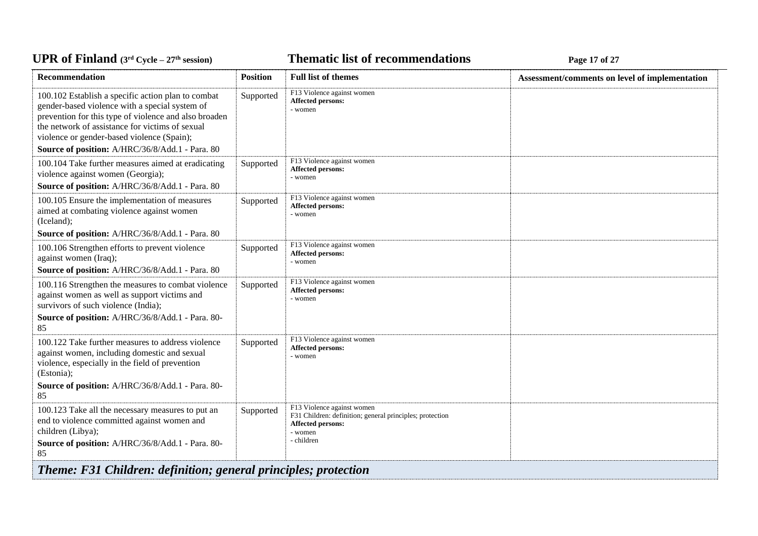*C***ELE <b>EXECUTE: CYCLE 27 Page 17 of 27** 

| <b>Recommendation</b>                                                                                                                                                                                                                                                                                             | <b>Position</b> | <b>Full list of themes</b>                                                                                                                  | Assessment/comments on level of implementation |
|-------------------------------------------------------------------------------------------------------------------------------------------------------------------------------------------------------------------------------------------------------------------------------------------------------------------|-----------------|---------------------------------------------------------------------------------------------------------------------------------------------|------------------------------------------------|
| 100.102 Establish a specific action plan to combat<br>gender-based violence with a special system of<br>prevention for this type of violence and also broaden<br>the network of assistance for victims of sexual<br>violence or gender-based violence (Spain);<br>Source of position: A/HRC/36/8/Add.1 - Para. 80 | Supported       | F13 Violence against women<br>Affected persons:<br>- women                                                                                  |                                                |
| 100.104 Take further measures aimed at eradicating<br>violence against women (Georgia);<br>Source of position: A/HRC/36/8/Add.1 - Para. 80                                                                                                                                                                        | Supported       | F13 Violence against women<br>Affected persons:<br>- women                                                                                  |                                                |
| 100.105 Ensure the implementation of measures<br>aimed at combating violence against women<br>(Iceland);<br>Source of position: A/HRC/36/8/Add.1 - Para. 80                                                                                                                                                       | Supported       | F13 Violence against women<br>Affected persons:<br>- women                                                                                  |                                                |
| 100.106 Strengthen efforts to prevent violence<br>against women (Iraq);<br>Source of position: A/HRC/36/8/Add.1 - Para. 80                                                                                                                                                                                        | Supported       | F13 Violence against women<br><b>Affected persons:</b><br>- women                                                                           |                                                |
| 100.116 Strengthen the measures to combat violence<br>against women as well as support victims and<br>survivors of such violence (India);<br>Source of position: A/HRC/36/8/Add.1 - Para. 80-<br>85                                                                                                               | Supported       | F13 Violence against women<br>Affected persons:<br>- women                                                                                  |                                                |
| 100.122 Take further measures to address violence<br>against women, including domestic and sexual<br>violence, especially in the field of prevention<br>(Estonia);<br>Source of position: A/HRC/36/8/Add.1 - Para. 80-<br>85                                                                                      | Supported       | F13 Violence against women<br>Affected persons:<br>- women                                                                                  |                                                |
| 100.123 Take all the necessary measures to put an<br>end to violence committed against women and<br>children (Libya);<br>Source of position: A/HRC/36/8/Add.1 - Para. 80-<br>85                                                                                                                                   | Supported       | F13 Violence against women<br>F31 Children: definition; general principles; protection<br><b>Affected persons:</b><br>- women<br>- children |                                                |
| <b>Theme: F31 Children: definition; general principles; protection</b>                                                                                                                                                                                                                                            |                 |                                                                                                                                             |                                                |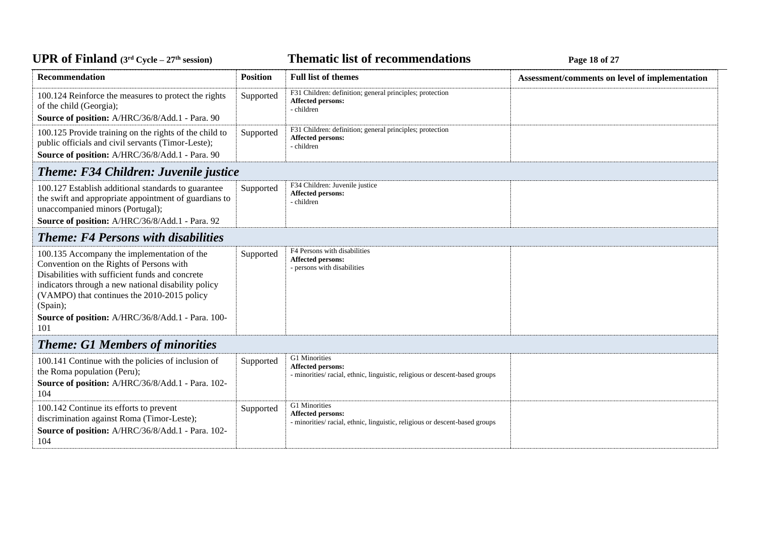# *C***ELE – <b>27 EXECUTE: CYCLE 27 Page 18 of 27 Page 18 of 27**

| Recommendation                                                                                                                                                                                                                                                                                                           | <b>Position</b> | <b>Full list of themes</b>                                                                                        | Assessment/comments on level of implementation |
|--------------------------------------------------------------------------------------------------------------------------------------------------------------------------------------------------------------------------------------------------------------------------------------------------------------------------|-----------------|-------------------------------------------------------------------------------------------------------------------|------------------------------------------------|
| 100.124 Reinforce the measures to protect the rights<br>of the child (Georgia);<br>Source of position: A/HRC/36/8/Add.1 - Para. 90                                                                                                                                                                                       | Supported       | F31 Children: definition; general principles; protection<br>Affected persons:<br>- children                       |                                                |
| 100.125 Provide training on the rights of the child to<br>public officials and civil servants (Timor-Leste);<br>Source of position: A/HRC/36/8/Add.1 - Para. 90                                                                                                                                                          | Supported       | F31 Children: definition; general principles; protection<br>Affected persons:<br>- children                       |                                                |
| <b>Theme: F34 Children: Juvenile justice</b>                                                                                                                                                                                                                                                                             |                 |                                                                                                                   |                                                |
| 100.127 Establish additional standards to guarantee<br>the swift and appropriate appointment of guardians to<br>unaccompanied minors (Portugal);<br>Source of position: A/HRC/36/8/Add.1 - Para. 92                                                                                                                      | Supported       | F34 Children: Juvenile justice<br>Affected persons:<br>- children                                                 |                                                |
| <b>Theme: F4 Persons with disabilities</b>                                                                                                                                                                                                                                                                               |                 |                                                                                                                   |                                                |
| 100.135 Accompany the implementation of the<br>Convention on the Rights of Persons with<br>Disabilities with sufficient funds and concrete<br>indicators through a new national disability policy<br>(VAMPO) that continues the 2010-2015 policy<br>(Spain);<br>Source of position: A/HRC/36/8/Add.1 - Para. 100-<br>101 | Supported       | F4 Persons with disabilities<br>Affected persons:<br>- persons with disabilities                                  |                                                |
| <b>Theme: G1 Members of minorities</b>                                                                                                                                                                                                                                                                                   |                 |                                                                                                                   |                                                |
| 100.141 Continue with the policies of inclusion of<br>the Roma population (Peru);<br>Source of position: A/HRC/36/8/Add.1 - Para. 102-<br>104                                                                                                                                                                            | Supported       | G1 Minorities<br>Affected persons:<br>- minorities/ racial, ethnic, linguistic, religious or descent-based groups |                                                |
| 100.142 Continue its efforts to prevent<br>discrimination against Roma (Timor-Leste);<br>Source of position: A/HRC/36/8/Add.1 - Para. 102-<br>104                                                                                                                                                                        | Supported       | G1 Minorities<br>Affected persons:<br>- minorities/racial, ethnic, linguistic, religious or descent-based groups  |                                                |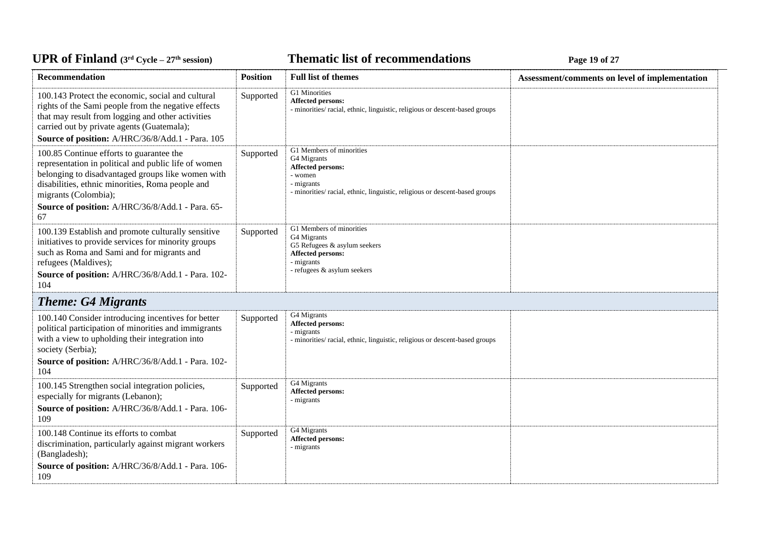# *C***ELE <b>EXECUTE: CYCLE 27E 19 CPLE CYCLE 27E 19 CPLE CPLE CPLE CPLE CPLE CPLE CPLE CPLE CPLE CPLE CPLE CPLE CPLE CPLE CPLE CPLE CPLE CPLE CPLE CPLE CPLE CPLE**

| Recommendation                                                                                                                                                                                                                                                                              | <b>Position</b> | <b>Full list of themes</b>                                                                                                                                          | Assessment/comments on level of implementation |
|---------------------------------------------------------------------------------------------------------------------------------------------------------------------------------------------------------------------------------------------------------------------------------------------|-----------------|---------------------------------------------------------------------------------------------------------------------------------------------------------------------|------------------------------------------------|
| 100.143 Protect the economic, social and cultural<br>rights of the Sami people from the negative effects<br>that may result from logging and other activities<br>carried out by private agents (Guatemala);<br>Source of position: A/HRC/36/8/Add.1 - Para. 105                             | Supported       | G1 Minorities<br><b>Affected persons:</b><br>- minorities/ racial, ethnic, linguistic, religious or descent-based groups                                            |                                                |
| 100.85 Continue efforts to guarantee the<br>representation in political and public life of women<br>belonging to disadvantaged groups like women with<br>disabilities, ethnic minorities, Roma people and<br>migrants (Colombia);<br>Source of position: A/HRC/36/8/Add.1 - Para. 65-<br>67 | Supported       | G1 Members of minorities<br>G4 Migrants<br>Affected persons:<br>- women<br>- migrants<br>- minorities/racial, ethnic, linguistic, religious or descent-based groups |                                                |
| 100.139 Establish and promote culturally sensitive<br>initiatives to provide services for minority groups<br>such as Roma and Sami and for migrants and<br>refugees (Maldives);<br>Source of position: A/HRC/36/8/Add.1 - Para. 102-<br>104                                                 | Supported       | G1 Members of minorities<br>G4 Migrants<br>G5 Refugees & asylum seekers<br>Affected persons:<br>- migrants<br>- refugees & asylum seekers                           |                                                |
| <b>Theme: G4 Migrants</b>                                                                                                                                                                                                                                                                   |                 |                                                                                                                                                                     |                                                |
| 100.140 Consider introducing incentives for better<br>political participation of minorities and immigrants<br>with a view to upholding their integration into<br>society (Serbia);<br>Source of position: A/HRC/36/8/Add.1 - Para. 102-<br>104                                              | Supported       | G4 Migrants<br><b>Affected persons:</b><br>- migrants<br>- minorities/ racial, ethnic, linguistic, religious or descent-based groups                                |                                                |
| 100.145 Strengthen social integration policies,<br>especially for migrants (Lebanon);<br>Source of position: A/HRC/36/8/Add.1 - Para. 106-<br>109                                                                                                                                           | Supported       | G4 Migrants<br>Affected persons:<br>- migrants                                                                                                                      |                                                |
| 100.148 Continue its efforts to combat<br>discrimination, particularly against migrant workers<br>(Bangladesh);<br>Source of position: A/HRC/36/8/Add.1 - Para. 106-<br>109                                                                                                                 | Supported       | G4 Migrants<br>Affected persons:<br>- migrants                                                                                                                      |                                                |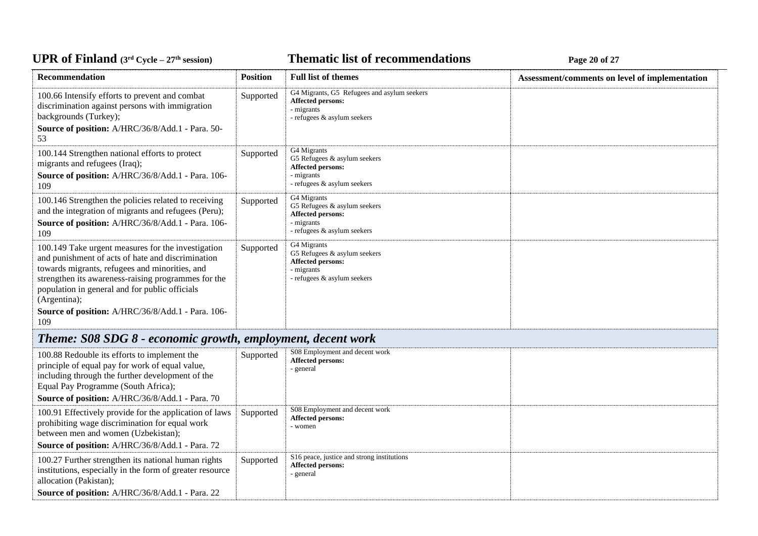#### *C***ELE <b>EXECUTE: CYCLE 20 EXECUTE: Page 20 of 27**

| Recommendation                                                                                                                                                                                                                                                                     | <b>Position</b> | <b>Full list of themes</b>                                                                                             | Assessment/comments on level of implementation |
|------------------------------------------------------------------------------------------------------------------------------------------------------------------------------------------------------------------------------------------------------------------------------------|-----------------|------------------------------------------------------------------------------------------------------------------------|------------------------------------------------|
| 100.66 Intensify efforts to prevent and combat<br>discrimination against persons with immigration<br>backgrounds (Turkey);<br>Source of position: A/HRC/36/8/Add.1 - Para. 50-<br>53                                                                                               | Supported       | G4 Migrants, G5 Refugees and asylum seekers<br><b>Affected persons:</b><br>- migrants<br>- refugees & asylum seekers   |                                                |
| 100.144 Strengthen national efforts to protect<br>migrants and refugees (Iraq);<br>Source of position: A/HRC/36/8/Add.1 - Para. 106-<br>109                                                                                                                                        | Supported       | G4 Migrants<br>G5 Refugees & asylum seekers<br><b>Affected persons:</b><br>- migrants<br>- refugees & asylum seekers   |                                                |
| 100.146 Strengthen the policies related to receiving<br>and the integration of migrants and refugees (Peru);<br>Source of position: A/HRC/36/8/Add.1 - Para. 106-<br>109                                                                                                           | Supported       | G4 Migrants<br>G5 Refugees & asylum seekers<br><b>Affected persons:</b><br>- migrants<br>- refugees & asylum seekers   |                                                |
| 100.149 Take urgent measures for the investigation<br>and punishment of acts of hate and discrimination<br>towards migrants, refugees and minorities, and<br>strengthen its awareness-raising programmes for the<br>population in general and for public officials<br>(Argentina); | Supported       | G4 Migrants<br>G5 Refugees $&$ asylum seekers<br><b>Affected persons:</b><br>- migrants<br>- refugees & asylum seekers |                                                |
| Source of position: A/HRC/36/8/Add.1 - Para. 106-<br>109<br>Theme: SO8 SDG 8 - economic growth employment decent work                                                                                                                                                              |                 |                                                                                                                        |                                                |

# *Theme: S08 SDG 8 - economic growth, employment, decent work*

| 100.88 Redouble its efforts to implement the<br>principle of equal pay for work of equal value,<br>including through the further development of the<br>Equal Pay Programme (South Africa);         | Supported | S08 Employment and decent work<br><b>Affected persons:</b><br>general                         |  |
|----------------------------------------------------------------------------------------------------------------------------------------------------------------------------------------------------|-----------|-----------------------------------------------------------------------------------------------|--|
| <b>Source of position:</b> A/HRC/36/8/Add.1 - Para. 70                                                                                                                                             |           |                                                                                               |  |
| 100.91 Effectively provide for the application of laws<br>prohibiting wage discrimination for equal work<br>between men and women (Uzbekistan);<br>Source of position: A/HRC/36/8/Add.1 - Para. 72 | Supported | S08 Employment and decent work<br><b>Affected persons:</b><br>- women                         |  |
| 100.27 Further strengthen its national human rights<br>institutions, especially in the form of greater resource<br>allocation (Pakistan);<br>Source of position: A/HRC/36/8/Add.1 - Para. 22       | Supported | S <sub>16</sub> peace, justice and strong institutions<br><b>Affected persons:</b><br>general |  |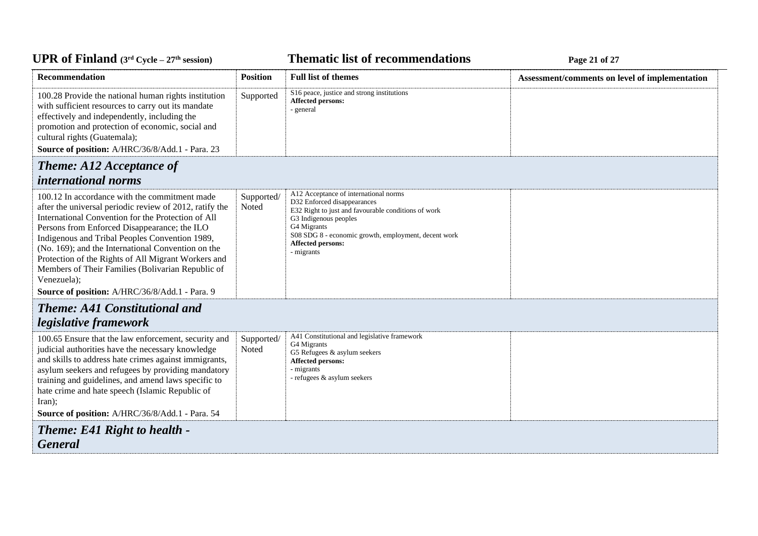# *C***ELE – <b>EXPLOMENT EXPLOMENT EXPLOMENT EXPLOMENT EXPLORED FAGE 21 of 27 <b>Page 21 of 27**

| <b>Recommendation</b>                                                                                                                                                                                                                                                                                                                                                                                                                             | <b>Position</b>     | <b>Full list of themes</b>                                                                                                                                                                                                                                            | Assessment/comments on level of implementation |
|---------------------------------------------------------------------------------------------------------------------------------------------------------------------------------------------------------------------------------------------------------------------------------------------------------------------------------------------------------------------------------------------------------------------------------------------------|---------------------|-----------------------------------------------------------------------------------------------------------------------------------------------------------------------------------------------------------------------------------------------------------------------|------------------------------------------------|
| 100.28 Provide the national human rights institution<br>with sufficient resources to carry out its mandate<br>effectively and independently, including the<br>promotion and protection of economic, social and<br>cultural rights (Guatemala);<br>Source of position: A/HRC/36/8/Add.1 - Para. 23                                                                                                                                                 | Supported           | S16 peace, justice and strong institutions<br>Affected persons:<br>- general                                                                                                                                                                                          |                                                |
| <b>Theme: A12 Acceptance of</b>                                                                                                                                                                                                                                                                                                                                                                                                                   |                     |                                                                                                                                                                                                                                                                       |                                                |
| <i>international norms</i>                                                                                                                                                                                                                                                                                                                                                                                                                        |                     |                                                                                                                                                                                                                                                                       |                                                |
| 100.12 In accordance with the commitment made<br>after the universal periodic review of 2012, ratify the<br>International Convention for the Protection of All<br>Persons from Enforced Disappearance; the ILO<br>Indigenous and Tribal Peoples Convention 1989,<br>(No. 169); and the International Convention on the<br>Protection of the Rights of All Migrant Workers and<br>Members of Their Families (Bolivarian Republic of<br>Venezuela); | Supported/<br>Noted | A12 Acceptance of international norms<br>D32 Enforced disappearances<br>E32 Right to just and favourable conditions of work<br>G3 Indigenous peoples<br>G4 Migrants<br>S08 SDG 8 - economic growth, employment, decent work<br><b>Affected persons:</b><br>- migrants |                                                |
| Source of position: A/HRC/36/8/Add.1 - Para. 9                                                                                                                                                                                                                                                                                                                                                                                                    |                     |                                                                                                                                                                                                                                                                       |                                                |
| <b>Theme: A41 Constitutional and</b>                                                                                                                                                                                                                                                                                                                                                                                                              |                     |                                                                                                                                                                                                                                                                       |                                                |
| legislative framework<br>100.65 Ensure that the law enforcement, security and<br>judicial authorities have the necessary knowledge<br>and skills to address hate crimes against immigrants,<br>asylum seekers and refugees by providing mandatory<br>training and guidelines, and amend laws specific to<br>hate crime and hate speech (Islamic Republic of<br>Iran):<br>Source of position: A/HRC/36/8/Add.1 - Para. 54                          | Supported/<br>Noted | A41 Constitutional and legislative framework<br>G4 Migrants<br>G5 Refugees & asylum seekers<br>Affected persons:<br>- migrants<br>- refugees & asylum seekers                                                                                                         |                                                |
| <b>Theme: E41 Right to health -</b><br><b>General</b>                                                                                                                                                                                                                                                                                                                                                                                             |                     |                                                                                                                                                                                                                                                                       |                                                |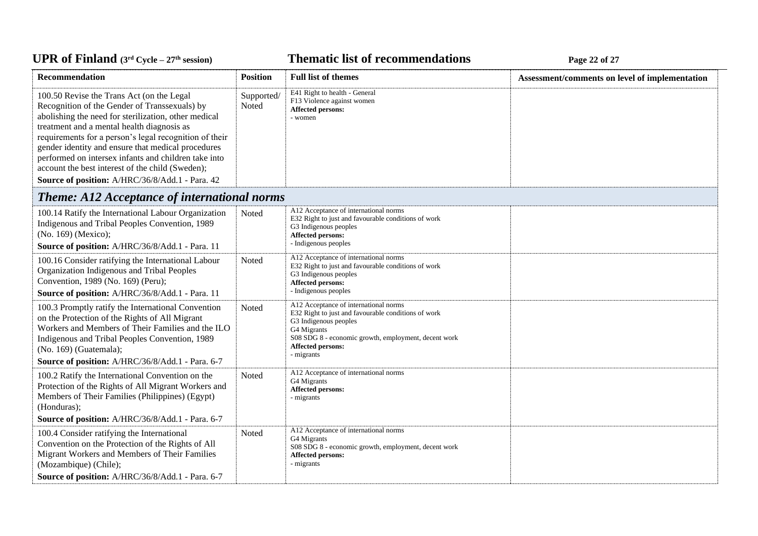*C***ELE <b>EXECUTE: CYCLE 27 Page 22** of 27

| Recommendation                                                                                                                                                                                                                                                                                                                                                                                                                                                                  | <b>Position</b>     | <b>Full list of themes</b>                                                                                                                                                                                                             | Assessment/comments on level of implementation |
|---------------------------------------------------------------------------------------------------------------------------------------------------------------------------------------------------------------------------------------------------------------------------------------------------------------------------------------------------------------------------------------------------------------------------------------------------------------------------------|---------------------|----------------------------------------------------------------------------------------------------------------------------------------------------------------------------------------------------------------------------------------|------------------------------------------------|
| 100.50 Revise the Trans Act (on the Legal<br>Recognition of the Gender of Transsexuals) by<br>abolishing the need for sterilization, other medical<br>treatment and a mental health diagnosis as<br>requirements for a person's legal recognition of their<br>gender identity and ensure that medical procedures<br>performed on intersex infants and children take into<br>account the best interest of the child (Sweden);<br>Source of position: A/HRC/36/8/Add.1 - Para. 42 | Supported/<br>Noted | E41 Right to health - General<br>F13 Violence against women<br>Affected persons:<br>- women                                                                                                                                            |                                                |
| <b>Theme: A12 Acceptance of international norms</b>                                                                                                                                                                                                                                                                                                                                                                                                                             |                     |                                                                                                                                                                                                                                        |                                                |
| 100.14 Ratify the International Labour Organization<br>Indigenous and Tribal Peoples Convention, 1989<br>(No. 169) (Mexico);<br>Source of position: A/HRC/36/8/Add.1 - Para. 11                                                                                                                                                                                                                                                                                                 | Noted               | A12 Acceptance of international norms<br>E32 Right to just and favourable conditions of work<br>G3 Indigenous peoples<br>Affected persons:<br>- Indigenous peoples                                                                     |                                                |
| 100.16 Consider ratifying the International Labour<br>Organization Indigenous and Tribal Peoples<br>Convention, 1989 (No. 169) (Peru);<br>Source of position: A/HRC/36/8/Add.1 - Para. 11                                                                                                                                                                                                                                                                                       | Noted               | A12 Acceptance of international norms<br>E32 Right to just and favourable conditions of work<br>G3 Indigenous peoples<br><b>Affected persons:</b><br>- Indigenous peoples                                                              |                                                |
| 100.3 Promptly ratify the International Convention<br>on the Protection of the Rights of All Migrant<br>Workers and Members of Their Families and the ILO<br>Indigenous and Tribal Peoples Convention, 1989<br>(No. 169) (Guatemala);<br>Source of position: A/HRC/36/8/Add.1 - Para. 6-7                                                                                                                                                                                       | Noted               | A12 Acceptance of international norms<br>E32 Right to just and favourable conditions of work<br>G3 Indigenous peoples<br>G4 Migrants<br>S08 SDG 8 - economic growth, employment, decent work<br><b>Affected persons:</b><br>- migrants |                                                |
| 100.2 Ratify the International Convention on the<br>Protection of the Rights of All Migrant Workers and<br>Members of Their Families (Philippines) (Egypt)<br>(Honduras);<br>Source of position: A/HRC/36/8/Add.1 - Para. 6-7                                                                                                                                                                                                                                                   | Noted               | A12 Acceptance of international norms<br>G4 Migrants<br><b>Affected persons:</b><br>- migrants                                                                                                                                         |                                                |
| 100.4 Consider ratifying the International<br>Convention on the Protection of the Rights of All<br>Migrant Workers and Members of Their Families<br>(Mozambique) (Chile);<br>Source of position: A/HRC/36/8/Add.1 - Para. 6-7                                                                                                                                                                                                                                                   | Noted               | A12 Acceptance of international norms<br>G4 Migrants<br>S08 SDG 8 - economic growth, employment, decent work<br>Affected persons:<br>- migrants                                                                                        |                                                |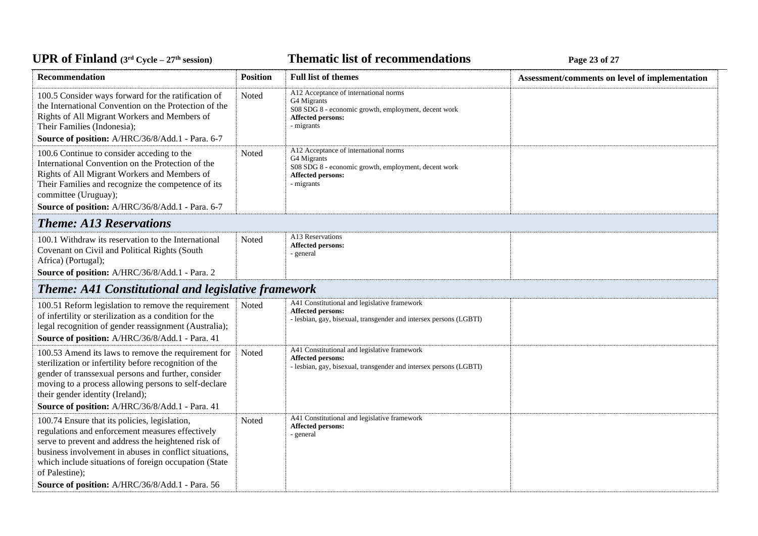# *C***ELE <b>EXECUTE: CYCLE 23 Page 23** of 27

| Recommendation                                                                                                                                                                                                                                                                                                                                   | <b>Position</b> | <b>Full list of themes</b>                                                                                                                             | Assessment/comments on level of implementation |
|--------------------------------------------------------------------------------------------------------------------------------------------------------------------------------------------------------------------------------------------------------------------------------------------------------------------------------------------------|-----------------|--------------------------------------------------------------------------------------------------------------------------------------------------------|------------------------------------------------|
| 100.5 Consider ways forward for the ratification of<br>the International Convention on the Protection of the<br>Rights of All Migrant Workers and Members of<br>Their Families (Indonesia);                                                                                                                                                      | Noted           | A12 Acceptance of international norms<br>G4 Migrants<br>S08 SDG 8 - economic growth, employment, decent work<br><b>Affected persons:</b><br>- migrants |                                                |
| Source of position: A/HRC/36/8/Add.1 - Para. 6-7                                                                                                                                                                                                                                                                                                 |                 | A12 Acceptance of international norms                                                                                                                  |                                                |
| 100.6 Continue to consider acceding to the<br>International Convention on the Protection of the<br>Rights of All Migrant Workers and Members of<br>Their Families and recognize the competence of its<br>committee (Uruguay);                                                                                                                    | Noted           | G4 Migrants<br>S08 SDG 8 - economic growth, employment, decent work<br>Affected persons:<br>- migrants                                                 |                                                |
| Source of position: A/HRC/36/8/Add.1 - Para. 6-7                                                                                                                                                                                                                                                                                                 |                 |                                                                                                                                                        |                                                |
| <b>Theme: A13 Reservations</b>                                                                                                                                                                                                                                                                                                                   |                 |                                                                                                                                                        |                                                |
| 100.1 Withdraw its reservation to the International<br>Covenant on Civil and Political Rights (South<br>Africa) (Portugal);<br>Source of position: A/HRC/36/8/Add.1 - Para. 2                                                                                                                                                                    | Noted           | A13 Reservations<br>Affected persons:<br>- general                                                                                                     |                                                |
|                                                                                                                                                                                                                                                                                                                                                  |                 |                                                                                                                                                        |                                                |
| <b>Theme: A41 Constitutional and legislative framework</b>                                                                                                                                                                                                                                                                                       |                 |                                                                                                                                                        |                                                |
| 100.51 Reform legislation to remove the requirement<br>of infertility or sterilization as a condition for the<br>legal recognition of gender reassignment (Australia);<br>Source of position: A/HRC/36/8/Add.1 - Para. 41                                                                                                                        | Noted           | A41 Constitutional and legislative framework<br><b>Affected persons:</b><br>- lesbian, gay, bisexual, transgender and intersex persons (LGBTI)         |                                                |
|                                                                                                                                                                                                                                                                                                                                                  |                 | A41 Constitutional and legislative framework                                                                                                           |                                                |
| 100.53 Amend its laws to remove the requirement for<br>sterilization or infertility before recognition of the<br>gender of transsexual persons and further, consider<br>moving to a process allowing persons to self-declare<br>their gender identity (Ireland);<br>Source of position: A/HRC/36/8/Add.1 - Para. 41                              | Noted           | Affected persons:<br>- lesbian, gay, bisexual, transgender and intersex persons (LGBTI)                                                                |                                                |
|                                                                                                                                                                                                                                                                                                                                                  |                 |                                                                                                                                                        |                                                |
| 100.74 Ensure that its policies, legislation,<br>regulations and enforcement measures effectively<br>serve to prevent and address the heightened risk of<br>business involvement in abuses in conflict situations,<br>which include situations of foreign occupation (State<br>of Palestine);<br>Source of position: A/HRC/36/8/Add.1 - Para. 56 | Noted           | A41 Constitutional and legislative framework<br>Affected persons:<br>- general                                                                         |                                                |
|                                                                                                                                                                                                                                                                                                                                                  |                 |                                                                                                                                                        |                                                |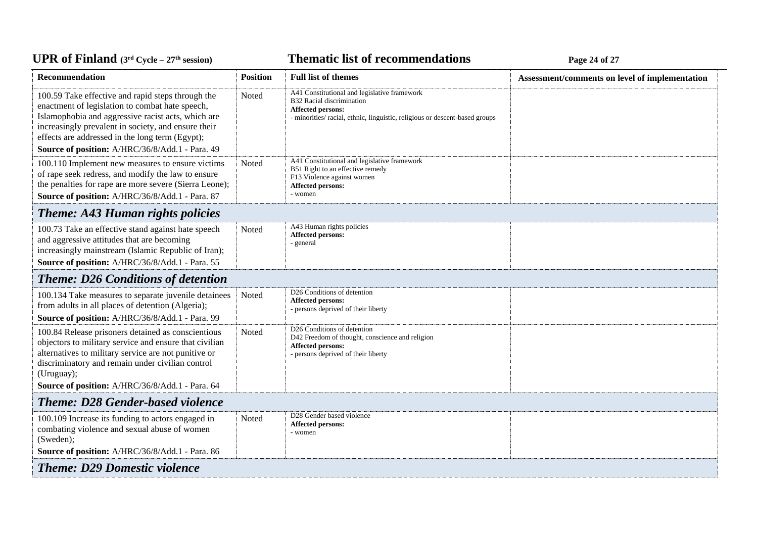# *C***ELE <b>EXECUTE: CYCLE 27 Page 24** of 27

| <b>Recommendation</b>                                                                                                                                                                                                                                                                                                   | <b>Position</b> | <b>Full list of themes</b>                                                                                                                                                   | Assessment/comments on level of implementation |
|-------------------------------------------------------------------------------------------------------------------------------------------------------------------------------------------------------------------------------------------------------------------------------------------------------------------------|-----------------|------------------------------------------------------------------------------------------------------------------------------------------------------------------------------|------------------------------------------------|
| 100.59 Take effective and rapid steps through the<br>enactment of legislation to combat hate speech,<br>Islamophobia and aggressive racist acts, which are<br>increasingly prevalent in society, and ensure their<br>effects are addressed in the long term (Egypt);<br>Source of position: A/HRC/36/8/Add.1 - Para. 49 | Noted           | A41 Constitutional and legislative framework<br>B32 Racial discrimination<br>Affected persons:<br>- minorities/racial, ethnic, linguistic, religious or descent-based groups |                                                |
| 100.110 Implement new measures to ensure victims<br>of rape seek redress, and modify the law to ensure<br>the penalties for rape are more severe (Sierra Leone);<br>Source of position: A/HRC/36/8/Add.1 - Para. 87                                                                                                     | Noted           | A41 Constitutional and legislative framework<br>B51 Right to an effective remedy<br>F13 Violence against women<br><b>Affected persons:</b><br>- women                        |                                                |
| <b>Theme: A43 Human rights policies</b>                                                                                                                                                                                                                                                                                 |                 |                                                                                                                                                                              |                                                |
| 100.73 Take an effective stand against hate speech<br>and aggressive attitudes that are becoming<br>increasingly mainstream (Islamic Republic of Iran);<br>Source of position: A/HRC/36/8/Add.1 - Para. 55                                                                                                              | Noted           | A43 Human rights policies<br>Affected persons:<br>- general                                                                                                                  |                                                |
| <b>Theme: D26 Conditions of detention</b>                                                                                                                                                                                                                                                                               |                 |                                                                                                                                                                              |                                                |
| 100.134 Take measures to separate juvenile detainees<br>from adults in all places of detention (Algeria);<br>Source of position: A/HRC/36/8/Add.1 - Para. 99                                                                                                                                                            | Noted           | D <sub>26</sub> Conditions of detention<br><b>Affected persons:</b><br>- persons deprived of their liberty                                                                   |                                                |
| 100.84 Release prisoners detained as conscientious<br>objectors to military service and ensure that civilian<br>alternatives to military service are not punitive or<br>discriminatory and remain under civilian control<br>(Uruguay);<br>Source of position: A/HRC/36/8/Add.1 - Para. 64                               | Noted           | D26 Conditions of detention<br>D42 Freedom of thought, conscience and religion<br>Affected persons:<br>- persons deprived of their liberty                                   |                                                |
| <b>Theme: D28 Gender-based violence</b>                                                                                                                                                                                                                                                                                 |                 |                                                                                                                                                                              |                                                |
| 100.109 Increase its funding to actors engaged in<br>combating violence and sexual abuse of women<br>(Sweden);                                                                                                                                                                                                          | Noted           | D28 Gender based violence<br><b>Affected persons:</b><br>- women                                                                                                             |                                                |
| Source of position: A/HRC/36/8/Add.1 - Para. 86<br><b>Theme: D29 Domestic violence</b>                                                                                                                                                                                                                                  |                 |                                                                                                                                                                              |                                                |
|                                                                                                                                                                                                                                                                                                                         |                 |                                                                                                                                                                              |                                                |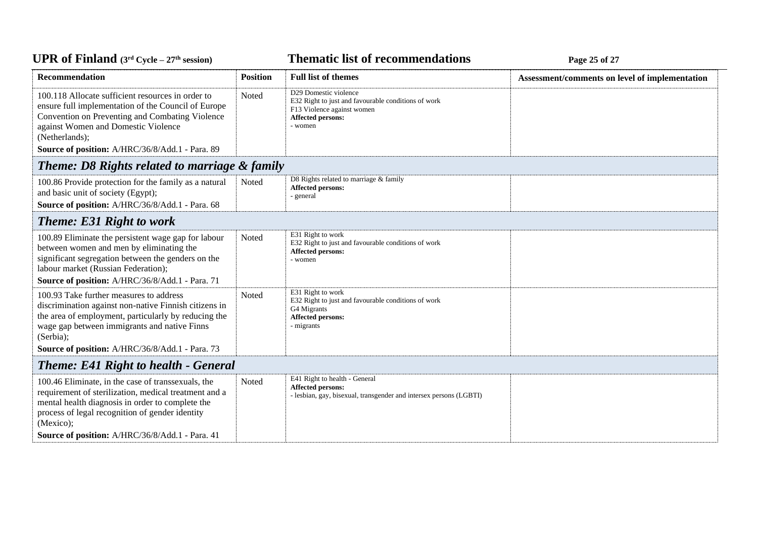# *C***ELE – <b>EXP EXP EXP EXP EXP EXP EXP EXP EXP EXP EXP EXP EXP EXP EXP EXP EXP EXP EXP EXP EXP EXP EXP EXP EXP EXP EXP EXP EXP EXP EXP EXP EXP EXP EXP E**

| <b>Recommendation</b>                                                                                                                                                                                                                                                              | <b>Position</b> | <b>Full list of themes</b>                                                                                                                 | Assessment/comments on level of implementation |  |
|------------------------------------------------------------------------------------------------------------------------------------------------------------------------------------------------------------------------------------------------------------------------------------|-----------------|--------------------------------------------------------------------------------------------------------------------------------------------|------------------------------------------------|--|
| 100.118 Allocate sufficient resources in order to<br>ensure full implementation of the Council of Europe<br>Convention on Preventing and Combating Violence<br>against Women and Domestic Violence<br>(Netherlands);<br>Source of position: A/HRC/36/8/Add.1 - Para. 89            | Noted           | D29 Domestic violence<br>E32 Right to just and favourable conditions of work<br>F13 Violence against women<br>Affected persons:<br>- women |                                                |  |
| Theme: D8 Rights related to marriage & family                                                                                                                                                                                                                                      |                 |                                                                                                                                            |                                                |  |
| 100.86 Provide protection for the family as a natural<br>and basic unit of society (Egypt);<br>Source of position: A/HRC/36/8/Add.1 - Para. 68                                                                                                                                     | Noted           | D8 Rights related to marriage & family<br>Affected persons:<br>- general                                                                   |                                                |  |
| <b>Theme: E31 Right to work</b>                                                                                                                                                                                                                                                    |                 |                                                                                                                                            |                                                |  |
| 100.89 Eliminate the persistent wage gap for labour<br>between women and men by eliminating the<br>significant segregation between the genders on the<br>labour market (Russian Federation);<br>Source of position: A/HRC/36/8/Add.1 - Para. 71                                    | Noted           | E31 Right to work<br>E32 Right to just and favourable conditions of work<br>Affected persons:<br>- women                                   |                                                |  |
| 100.93 Take further measures to address<br>discrimination against non-native Finnish citizens in<br>the area of employment, particularly by reducing the<br>wage gap between immigrants and native Finns<br>(Serbia);<br>Source of position: A/HRC/36/8/Add.1 - Para. 73           | Noted           | E31 Right to work<br>E32 Right to just and favourable conditions of work<br>G4 Migrants<br>Affected persons:<br>- migrants                 |                                                |  |
| <b>Theme: E41 Right to health - General</b>                                                                                                                                                                                                                                        |                 |                                                                                                                                            |                                                |  |
| 100.46 Eliminate, in the case of transsexuals, the<br>requirement of sterilization, medical treatment and a<br>mental health diagnosis in order to complete the<br>process of legal recognition of gender identity<br>(Mexico);<br>Source of position: A/HRC/36/8/Add.1 - Para. 41 | Noted           | E41 Right to health - General<br>Affected persons:<br>- lesbian, gay, bisexual, transgender and intersex persons (LGBTI)                   |                                                |  |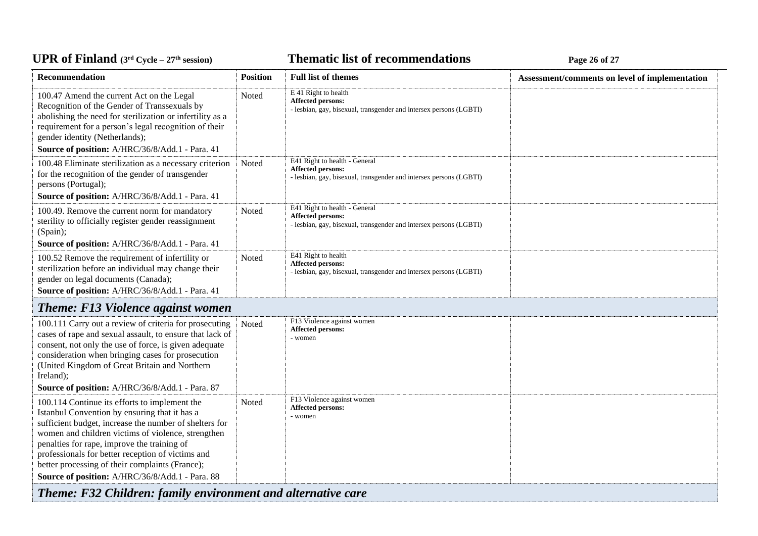#### *C***ELE <b>EXECUTE: CYCLE 27 CYCLE 27 Page 26 of 27**

| <b>Recommendation</b>                                                                                                                                                                                                                                                                                                                                                                                                    | <b>Position</b> | <b>Full list of themes</b>                                                                                               | Assessment/comments on level of implementation |
|--------------------------------------------------------------------------------------------------------------------------------------------------------------------------------------------------------------------------------------------------------------------------------------------------------------------------------------------------------------------------------------------------------------------------|-----------------|--------------------------------------------------------------------------------------------------------------------------|------------------------------------------------|
| 100.47 Amend the current Act on the Legal<br>Recognition of the Gender of Transsexuals by<br>abolishing the need for sterilization or infertility as a<br>requirement for a person's legal recognition of their<br>gender identity (Netherlands);<br>Source of position: A/HRC/36/8/Add.1 - Para. 41                                                                                                                     | Noted           | E 41 Right to health<br>Affected persons:<br>- lesbian, gay, bisexual, transgender and intersex persons (LGBTI)          |                                                |
| 100.48 Eliminate sterilization as a necessary criterion<br>for the recognition of the gender of transgender<br>persons (Portugal);<br>Source of position: A/HRC/36/8/Add.1 - Para. 41                                                                                                                                                                                                                                    | Noted           | E41 Right to health - General<br>Affected persons:<br>- lesbian, gay, bisexual, transgender and intersex persons (LGBTI) |                                                |
| 100.49. Remove the current norm for mandatory<br>sterility to officially register gender reassignment<br>(Spain);                                                                                                                                                                                                                                                                                                        | Noted           | E41 Right to health - General<br>Affected persons:<br>- lesbian, gay, bisexual, transgender and intersex persons (LGBTI) |                                                |
| Source of position: A/HRC/36/8/Add.1 - Para. 41                                                                                                                                                                                                                                                                                                                                                                          |                 |                                                                                                                          |                                                |
| 100.52 Remove the requirement of infertility or<br>sterilization before an individual may change their<br>gender on legal documents (Canada);<br>Source of position: A/HRC/36/8/Add.1 - Para. 41                                                                                                                                                                                                                         | Noted           | E41 Right to health<br>Affected persons:<br>- lesbian, gay, bisexual, transgender and intersex persons (LGBTI)           |                                                |
| <b>Theme: F13 Violence against women</b>                                                                                                                                                                                                                                                                                                                                                                                 |                 |                                                                                                                          |                                                |
| 100.111 Carry out a review of criteria for prosecuting<br>cases of rape and sexual assault, to ensure that lack of<br>consent, not only the use of force, is given adequate<br>consideration when bringing cases for prosecution<br>(United Kingdom of Great Britain and Northern<br>Ireland);                                                                                                                           | Noted           | F13 Violence against women<br><b>Affected persons:</b><br>- women                                                        |                                                |
| Source of position: A/HRC/36/8/Add.1 - Para. 87                                                                                                                                                                                                                                                                                                                                                                          |                 |                                                                                                                          |                                                |
| 100.114 Continue its efforts to implement the<br>Istanbul Convention by ensuring that it has a<br>sufficient budget, increase the number of shelters for<br>women and children victims of violence, strengthen<br>penalties for rape, improve the training of<br>professionals for better reception of victims and<br>better processing of their complaints (France);<br>Source of position: A/HRC/36/8/Add.1 - Para. 88 | Noted           | F13 Violence against women<br><b>Affected persons:</b><br>- women                                                        |                                                |
| Theme: F32 Children: family environment and alternative care                                                                                                                                                                                                                                                                                                                                                             |                 |                                                                                                                          |                                                |